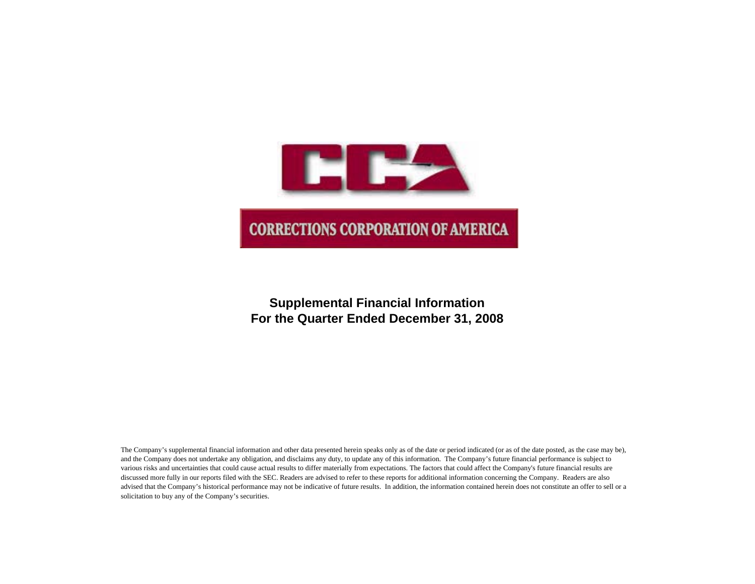

# **Supplemental Financial Information For the Quarter Ended December 31, 2008**

The Company's supplemental financial information and other data presented herein speaks only as of the date or period indicated (or as of the date posted, as the case may be), and the Company does not undertake any obligation, and disclaims any duty, to update any of this information. The Company's future financial performance is subject to various risks and uncertainties that could cause actual results to differ materially from expectations. The factors that could affect the Company's future financial results are discussed more fully in our reports filed with the SEC. Readers are advised to refer to these reports for additional information concerning the Company. Readers are also advised that the Company's historical performance may not be indicative of future results. In addition, the information contained herein does not constitute an offer to sell or a solicitation to buy any of the Company's securities.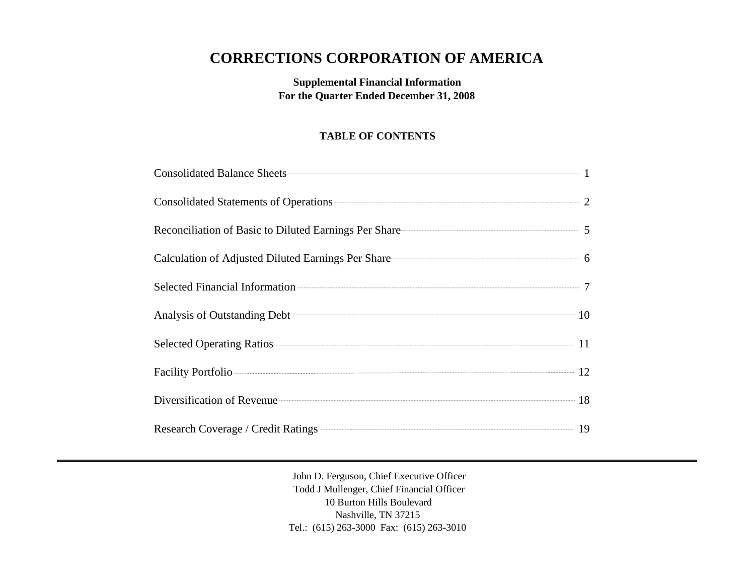# **CORRECTIONS CORPORATION OF AMERICA**

**Supplemental Financial Information For the Quarter Ended December 31, 2008**

# **TABLE OF CONTENTS**

| Consolidated Statements of Operations 2                  |  |
|----------------------------------------------------------|--|
| Reconciliation of Basic to Diluted Earnings Per Share 55 |  |
|                                                          |  |
|                                                          |  |
| Analysis of Outstanding Debt 10                          |  |
|                                                          |  |
| Facility Portfolio                                       |  |
| Diversification of Revenue 18                            |  |
| Research Coverage / Credit Ratings <b>COVER 19</b> 19    |  |

John D. Ferguson, Chief Executive Officer Todd J Mullenger, Chief Financial Officer 10 Burton Hills Boulevard Nashville, TN 37215 Tel.: (615) 263-3000 Fax: (615) 263-3010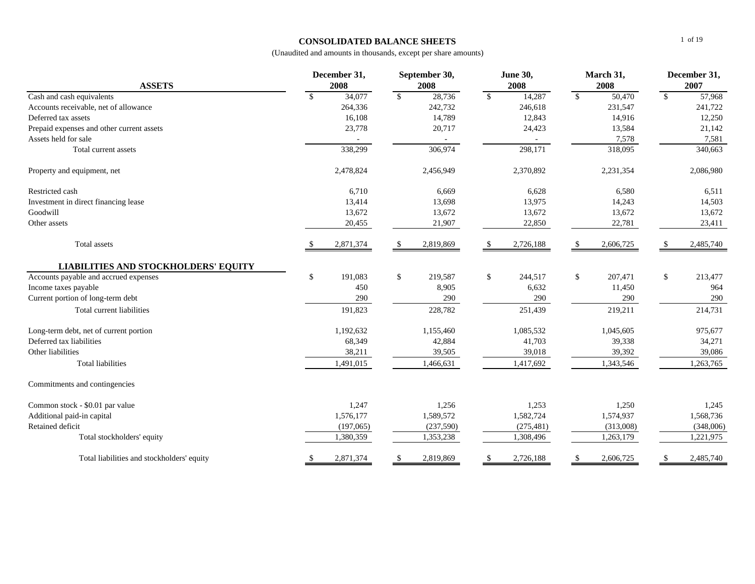#### **CONSOLIDATED BALANCE SHEETS**

| <b>ASSETS</b>                               | December 31,<br>2008 |           |               |            |               | September 30,<br>2008 | <b>June 30,</b><br>2008 |           |              | March 31,<br>2008 |  | December 31,<br>2007 |
|---------------------------------------------|----------------------|-----------|---------------|------------|---------------|-----------------------|-------------------------|-----------|--------------|-------------------|--|----------------------|
| Cash and cash equivalents                   | \$                   | 34,077    | $\mathcal{S}$ | 28,736     | $\mathbb{S}$  | 14,287                | $\mathbf{s}$            | 50,470    | $\mathbb{S}$ | 57,968            |  |                      |
| Accounts receivable, net of allowance       |                      | 264,336   |               | 242,732    |               | 246,618               |                         | 231,547   |              | 241,722           |  |                      |
| Deferred tax assets                         |                      | 16,108    |               | 14,789     |               | 12,843                |                         | 14,916    |              | 12,250            |  |                      |
| Prepaid expenses and other current assets   |                      | 23,778    |               | 20,717     |               | 24,423                |                         | 13,584    |              | 21,142            |  |                      |
| Assets held for sale                        |                      |           |               |            |               |                       |                         | 7,578     |              | 7,581             |  |                      |
| Total current assets                        |                      | 338,299   |               | 306,974    |               | 298,171               |                         | 318,095   |              | 340,663           |  |                      |
| Property and equipment, net                 |                      | 2,478,824 |               | 2,456,949  |               | 2,370,892             |                         | 2,231,354 |              | 2,086,980         |  |                      |
| Restricted cash                             |                      | 6,710     |               | 6,669      |               | 6,628                 |                         | 6,580     |              | 6,511             |  |                      |
| Investment in direct financing lease        |                      | 13,414    |               | 13,698     |               | 13,975                |                         | 14,243    |              | 14,503            |  |                      |
| Goodwill                                    |                      | 13,672    |               | 13,672     |               | 13,672                |                         | 13,672    |              | 13,672            |  |                      |
| Other assets                                |                      | 20,455    |               | 21,907     |               | 22,850                |                         | 22,781    |              | 23,411            |  |                      |
| Total assets                                | \$                   | 2,871,374 |               | 2,819,869  | <sup>\$</sup> | 2,726,188             | \$                      | 2,606,725 | \$           | 2,485,740         |  |                      |
| <b>LIABILITIES AND STOCKHOLDERS' EQUITY</b> |                      |           |               |            |               |                       |                         |           |              |                   |  |                      |
| Accounts payable and accrued expenses       | $\$$                 | 191,083   | $\$$          | 219,587    | $\mathbb{S}$  | 244,517               | \$                      | 207,471   | \$           | 213,477           |  |                      |
| Income taxes payable                        |                      | 450       |               | 8,905      |               | 6,632                 |                         | 11,450    |              | 964               |  |                      |
| Current portion of long-term debt           |                      | 290       |               | 290        |               | 290                   |                         | 290       |              | 290               |  |                      |
| Total current liabilities                   |                      | 191,823   |               | 228,782    |               | 251,439               |                         | 219,211   |              | 214,731           |  |                      |
| Long-term debt, net of current portion      |                      | 1,192,632 |               | 1,155,460  |               | 1,085,532             |                         | 1,045,605 |              | 975,677           |  |                      |
| Deferred tax liabilities                    |                      | 68,349    |               | 42,884     |               | 41,703                |                         | 39,338    |              | 34,271            |  |                      |
| Other liabilities                           |                      | 38,211    |               | 39,505     |               | 39,018                |                         | 39,392    |              | 39,086            |  |                      |
| Total liabilities                           |                      | 1,491,015 |               | 1,466,631  |               | 1,417,692             |                         | 1,343,546 |              | 1,263,765         |  |                      |
| Commitments and contingencies               |                      |           |               |            |               |                       |                         |           |              |                   |  |                      |
| Common stock - \$0.01 par value             |                      | 1,247     |               | 1,256      |               | 1,253                 |                         | 1,250     |              | 1,245             |  |                      |
| Additional paid-in capital                  |                      | 1,576,177 |               | 1,589,572  |               | 1,582,724             |                         | 1,574,937 |              | 1,568,736         |  |                      |
| Retained deficit                            |                      | (197,065) |               | (237, 590) |               | (275, 481)            |                         | (313,008) |              | (348,006)         |  |                      |
| Total stockholders' equity                  |                      | 1,380,359 |               | 1,353,238  |               | 1,308,496             |                         | 1,263,179 |              | 1,221,975         |  |                      |
| Total liabilities and stockholders' equity  | <sup>\$</sup>        | 2,871,374 | <sup>\$</sup> | 2,819,869  | \$            | 2,726,188             | <sup>\$</sup>           | 2,606,725 | \$           | 2,485,740         |  |                      |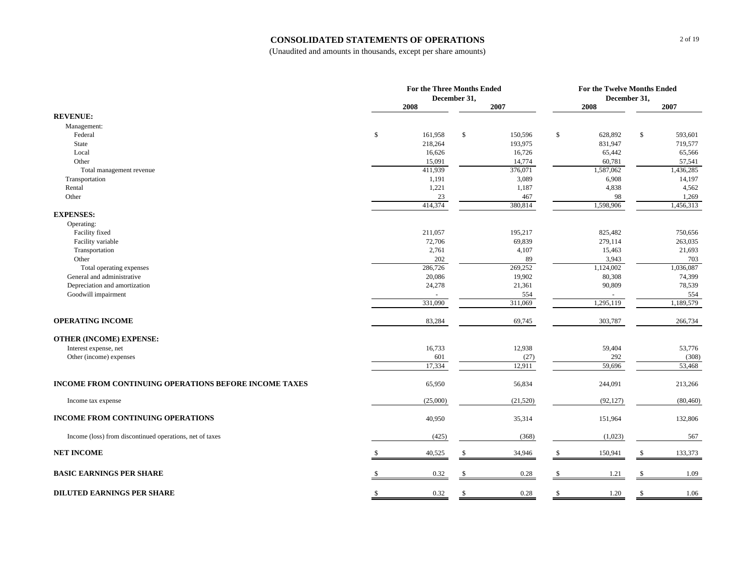#### **CONSOLIDATED STATEMENTS OF OPERATIONS**

|                                                          |    | For the Three Months Ended<br>December 31, |     |                   |               | For the Twelve Months Ended<br>December 31, |    |                     |  |
|----------------------------------------------------------|----|--------------------------------------------|-----|-------------------|---------------|---------------------------------------------|----|---------------------|--|
|                                                          |    | 2008                                       |     | 2007              |               | 2008                                        |    | 2007                |  |
| <b>REVENUE:</b>                                          |    |                                            |     |                   |               |                                             |    |                     |  |
| Management:                                              |    |                                            |     |                   |               |                                             |    |                     |  |
| Federal                                                  | \$ | 161,958                                    | \$  | 150,596           | $\mathbb{S}$  | 628,892                                     | \$ | 593,601             |  |
| State                                                    |    | 218,264                                    |     | 193,975           |               | 831,947                                     |    | 719,577             |  |
| Local                                                    |    | 16,626                                     |     | 16,726            |               | 65,442                                      |    | 65,566              |  |
| Other<br>Total management revenue                        |    | 15,091<br>411,939                          |     | 14,774<br>376,071 |               | 60,781<br>1,587,062                         |    | 57,541<br>1,436,285 |  |
| Transportation                                           |    | 1,191                                      |     | 3,089             |               | 6,908                                       |    | 14,197              |  |
| Rental                                                   |    | 1,221                                      |     | 1,187             |               | 4,838                                       |    | 4,562               |  |
| Other                                                    |    | 23                                         |     | 467               |               | 98                                          |    | 1,269               |  |
|                                                          |    | 414,374                                    |     | 380,814           |               | 1,598,906                                   |    | 1,456,313           |  |
| <b>EXPENSES:</b>                                         |    |                                            |     |                   |               |                                             |    |                     |  |
| Operating:                                               |    |                                            |     |                   |               |                                             |    |                     |  |
| Facility fixed                                           |    | 211,057                                    |     | 195,217           |               | 825,482                                     |    | 750,656             |  |
| Facility variable                                        |    | 72,706                                     |     | 69,839            |               | 279,114                                     |    | 263,035             |  |
| Transportation                                           |    | 2,761                                      |     | 4,107             |               | 15,463                                      |    | 21,693              |  |
| Other                                                    |    | 202<br>286,726                             |     | 89<br>269,252     |               | 3,943<br>1,124,002                          |    | 703<br>1,036,087    |  |
| Total operating expenses<br>General and administrative   |    | 20,086                                     |     | 19,902            |               | 80,308                                      |    | 74,399              |  |
| Depreciation and amortization                            |    | 24,278                                     |     | 21,361            |               | 90,809                                      |    | 78,539              |  |
| Goodwill impairment                                      |    |                                            |     | 554               |               |                                             |    | 554                 |  |
|                                                          |    | 331,090                                    |     | 311,069           |               | 1,295,119                                   |    | 1,189,579           |  |
| <b>OPERATING INCOME</b>                                  |    | 83,284                                     |     | 69,745            |               | 303,787                                     |    | 266,734             |  |
| <b>OTHER (INCOME) EXPENSE:</b>                           |    |                                            |     |                   |               |                                             |    |                     |  |
| Interest expense, net                                    |    | 16,733                                     |     | 12,938            |               | 59,404                                      |    | 53,776              |  |
| Other (income) expenses                                  |    | 601                                        |     | (27)              |               | 292                                         |    | (308)               |  |
|                                                          |    | 17,334                                     |     | 12,911            |               | 59,696                                      |    | 53,468              |  |
| INCOME FROM CONTINUING OPERATIONS BEFORE INCOME TAXES    |    | 65,950                                     |     | 56,834            |               | 244,091                                     |    | 213,266             |  |
| Income tax expense                                       |    | (25,000)                                   |     | (21, 520)         |               | (92, 127)                                   |    | (80, 460)           |  |
| <b>INCOME FROM CONTINUING OPERATIONS</b>                 |    | 40,950                                     |     | 35,314            |               | 151,964                                     |    | 132,806             |  |
| Income (loss) from discontinued operations, net of taxes |    | (425)                                      |     | (368)             |               | (1,023)                                     |    | 567                 |  |
| <b>NET INCOME</b>                                        |    | 40,525                                     | -\$ | 34,946            | \$            | 150,941                                     | -S | 133,373             |  |
| <b>BASIC EARNINGS PER SHARE</b>                          |    | 0.32                                       |     | 0.28              | -S            | 1.21                                        |    | 1.09                |  |
| <b>DILUTED EARNINGS PER SHARE</b>                        | S. | 0.32                                       | -S  | 0.28              | <sup>\$</sup> |                                             |    | 1.06                |  |
|                                                          |    |                                            |     |                   |               | 1.20                                        | S  |                     |  |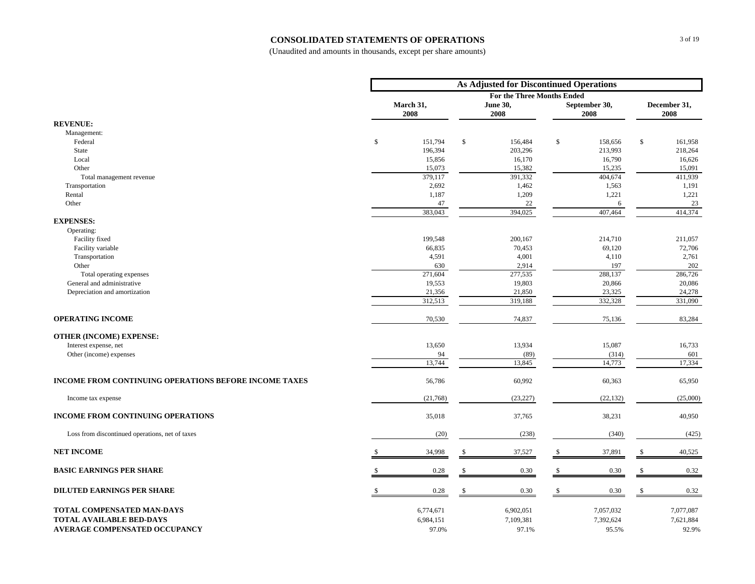#### **CONSOLIDATED STATEMENTS OF OPERATIONS**

|                                                              |                   |              | <b>As Adjusted for Discontinued Operations</b> |     |                       |              |                      |
|--------------------------------------------------------------|-------------------|--------------|------------------------------------------------|-----|-----------------------|--------------|----------------------|
|                                                              |                   |              | <b>For the Three Months Ended</b>              |     |                       |              |                      |
|                                                              | March 31,<br>2008 |              | <b>June 30,</b><br>2008                        |     | September 30,<br>2008 |              | December 31,<br>2008 |
| <b>REVENUE:</b>                                              |                   |              |                                                |     |                       |              |                      |
| Management:                                                  |                   |              |                                                |     |                       |              |                      |
| Federal                                                      | \$<br>151,794     | $\$$         | 156,484                                        | \$  | 158,656               | $\mathbb{S}$ | 161,958              |
| State                                                        | 196,394           |              | 203,296                                        |     | 213,993               |              | 218,264              |
| Local                                                        | 15,856            |              | 16,170                                         |     | 16,790                |              | 16,626               |
| Other                                                        | 15,073            |              | 15,382                                         |     | 15,235                |              | 15,091               |
| Total management revenue                                     | 379,117           |              | 391,332                                        |     | 404,674               |              | 411,939              |
| Transportation                                               | 2,692             |              | 1,462                                          |     | 1,563                 |              | 1,191                |
| Rental                                                       | 1,187             |              | 1,209                                          |     | 1,221                 |              | 1,221                |
| Other                                                        | 47                |              | 22                                             |     | 6                     |              | 23                   |
|                                                              | 383,043           |              | 394,025                                        |     | 407,464               |              | 414,374              |
| <b>EXPENSES:</b>                                             |                   |              |                                                |     |                       |              |                      |
| Operating:<br>Facility fixed                                 | 199,548           |              | 200,167                                        |     | 214,710               |              | 211,057              |
|                                                              | 66,835            |              | 70,453                                         |     | 69,120                |              |                      |
| Facility variable<br>Transportation                          | 4,591             |              | 4,001                                          |     | 4,110                 |              | 72,706<br>2,761      |
| Other                                                        | 630               |              | 2,914                                          |     | 197                   |              | 202                  |
| Total operating expenses                                     | 271,604           |              | 277,535                                        |     | 288,137               |              | 286,726              |
| General and administrative                                   | 19,553            |              | 19,803                                         |     | 20,866                |              | 20,086               |
| Depreciation and amortization                                | 21,356            |              | 21,850                                         |     | 23,325                |              | 24,278               |
|                                                              | 312,513           |              | 319,188                                        |     | 332,328               |              | 331,090              |
| <b>OPERATING INCOME</b>                                      | 70,530            |              | 74,837                                         |     | 75,136                |              | 83,284               |
| <b>OTHER (INCOME) EXPENSE:</b>                               |                   |              |                                                |     |                       |              |                      |
| Interest expense, net                                        | 13,650            |              | 13,934                                         |     | 15,087                |              | 16,733               |
| Other (income) expenses                                      | 94                |              | (89)                                           |     | (314)                 |              | 601                  |
|                                                              | 13,744            |              | 13,845                                         |     | 14,773                |              | 17,334               |
| <b>INCOME FROM CONTINUING OPERATIONS BEFORE INCOME TAXES</b> | 56,786            |              | 60,992                                         |     | 60,363                |              | 65,950               |
|                                                              |                   |              |                                                |     |                       |              |                      |
| Income tax expense                                           | (21,768)          |              | (23, 227)                                      |     | (22, 132)             |              | (25,000)             |
| <b>INCOME FROM CONTINUING OPERATIONS</b>                     | 35,018            |              | 37,765                                         |     | 38,231                |              | 40,950               |
| Loss from discontinued operations, net of taxes              | (20)              |              | (238)                                          |     | (340)                 |              | (425)                |
| <b>NET INCOME</b>                                            | 34,998            | S            | 37,527                                         | \$  | 37,891                | \$           | 40,525               |
| <b>BASIC EARNINGS PER SHARE</b>                              | 0.28              | $\mathbb{S}$ | 0.30                                           | \$  | 0.30                  | \$           | 0.32                 |
| DILUTED EARNINGS PER SHARE                                   | 0.28              | \$           | 0.30                                           | \$. | 0.30                  | -S           | 0.32                 |
| TOTAL COMPENSATED MAN-DAYS                                   | 6,774,671         |              | 6,902,051                                      |     | 7,057,032             |              | 7,077,087            |
| <b>TOTAL AVAILABLE BED-DAYS</b>                              | 6,984,151         |              | 7,109,381                                      |     | 7,392,624             |              | 7,621,884            |
| <b>AVERAGE COMPENSATED OCCUPANCY</b>                         | 97.0%             |              | 97.1%                                          |     | 95.5%                 |              | 92.9%                |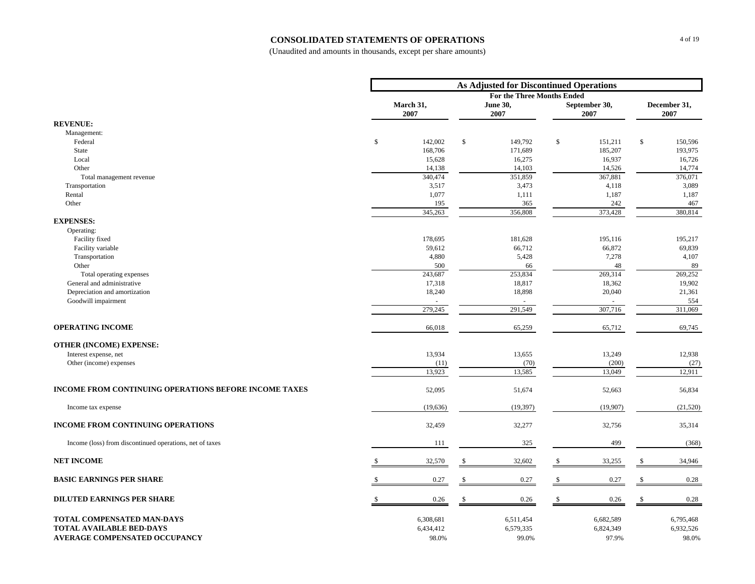#### **CONSOLIDATED STATEMENTS OF OPERATIONS**

|                                                              | <b>As Adjusted for Discontinued Operations</b> |                  |               |                                                      |     |                  |    |                  |  |
|--------------------------------------------------------------|------------------------------------------------|------------------|---------------|------------------------------------------------------|-----|------------------|----|------------------|--|
|                                                              |                                                | March 31,        |               | <b>For the Three Months Ended</b><br><b>June 30,</b> |     | September 30,    |    | December 31,     |  |
|                                                              |                                                | 2007             |               | 2007                                                 |     | 2007             |    | 2007             |  |
| <b>REVENUE:</b>                                              |                                                |                  |               |                                                      |     |                  |    |                  |  |
| Management:                                                  |                                                |                  |               |                                                      |     |                  |    |                  |  |
| Federal                                                      | $\$$                                           | 142,002          | \$            | 149,792                                              | \$  | 151,211          | \$ | 150,596          |  |
| State                                                        |                                                | 168,706          |               | 171,689                                              |     | 185,207          |    | 193,975          |  |
| Local                                                        |                                                | 15,628           |               | 16,275                                               |     | 16,937           |    | 16,726           |  |
| Other                                                        |                                                | 14,138           |               | 14,103                                               |     | 14,526           |    | 14,774           |  |
| Total management revenue<br>Transportation                   |                                                | 340,474<br>3,517 |               | 351,859<br>3,473                                     |     | 367,881<br>4,118 |    | 376,071<br>3,089 |  |
| Rental                                                       |                                                | 1,077            |               | 1,111                                                |     | 1,187            |    | 1,187            |  |
| Other                                                        |                                                | 195              |               | 365                                                  |     | 242              |    | 467              |  |
|                                                              |                                                | 345,263          |               | 356,808                                              |     | 373,428          |    | 380,814          |  |
| <b>EXPENSES:</b>                                             |                                                |                  |               |                                                      |     |                  |    |                  |  |
| Operating:                                                   |                                                |                  |               |                                                      |     |                  |    |                  |  |
| Facility fixed                                               |                                                | 178,695          |               | 181,628                                              |     | 195,116          |    | 195,217          |  |
| Facility variable                                            |                                                | 59,612           |               | 66,712                                               |     | 66,872           |    | 69,839           |  |
| Transportation                                               |                                                | 4,880            |               | 5,428                                                |     | 7,278            |    | 4,107            |  |
| Other                                                        |                                                | 500              |               | 66                                                   |     | 48               |    | 89               |  |
| Total operating expenses                                     |                                                | 243,687          |               | 253,834                                              |     | 269,314          |    | 269,252          |  |
| General and administrative                                   |                                                | 17,318           |               | 18,817                                               |     | 18,362           |    | 19,902           |  |
| Depreciation and amortization                                |                                                | 18,240           |               | 18,898                                               |     | 20,040           |    | 21,361           |  |
| Goodwill impairment                                          |                                                | 279,245          |               | 291,549                                              |     | 307,716          |    | 554<br>311,069   |  |
| <b>OPERATING INCOME</b>                                      |                                                | 66,018           |               | 65,259                                               |     | 65,712           |    | 69,745           |  |
|                                                              |                                                |                  |               |                                                      |     |                  |    |                  |  |
| <b>OTHER (INCOME) EXPENSE:</b><br>Interest expense, net      |                                                | 13,934           |               | 13,655                                               |     | 13,249           |    | 12,938           |  |
| Other (income) expenses                                      |                                                | (11)             |               | (70)                                                 |     | (200)            |    | (27)             |  |
|                                                              |                                                | 13,923           |               | 13,585                                               |     | 13,049           |    | 12,911           |  |
| <b>INCOME FROM CONTINUING OPERATIONS BEFORE INCOME TAXES</b> |                                                | 52,095           |               | 51,674                                               |     | 52,663           |    | 56,834           |  |
| Income tax expense                                           |                                                | (19, 636)        |               | (19, 397)                                            |     | (19,907)         |    | (21, 520)        |  |
| <b>INCOME FROM CONTINUING OPERATIONS</b>                     |                                                | 32,459           |               | 32,277                                               |     | 32,756           |    | 35,314           |  |
| Income (loss) from discontinued operations, net of taxes     |                                                | 111              |               | 325                                                  |     | 499              |    | (368)            |  |
| <b>NET INCOME</b>                                            |                                                | 32,570           |               | 32,602                                               | S.  | 33,255           | \$ | 34,946           |  |
| <b>BASIC EARNINGS PER SHARE</b>                              |                                                | 0.27             |               | 0.27                                                 | \$. | 0.27             | -8 | 0.28             |  |
| <b>DILUTED EARNINGS PER SHARE</b>                            |                                                | 0.26             | $\mathcal{S}$ | 0.26                                                 | \$  | 0.26             |    | 0.28             |  |
| TOTAL COMPENSATED MAN-DAYS                                   |                                                | 6,308,681        |               | 6,511,454                                            |     | 6,682,589        |    | 6,795,468        |  |
| <b>TOTAL AVAILABLE BED-DAYS</b>                              |                                                | 6,434,412        |               | 6,579,335                                            |     | 6,824,349        |    | 6,932,526        |  |
| AVERAGE COMPENSATED OCCUPANCY                                |                                                | 98.0%            |               | 99.0%                                                |     | 97.9%            |    | 98.0%            |  |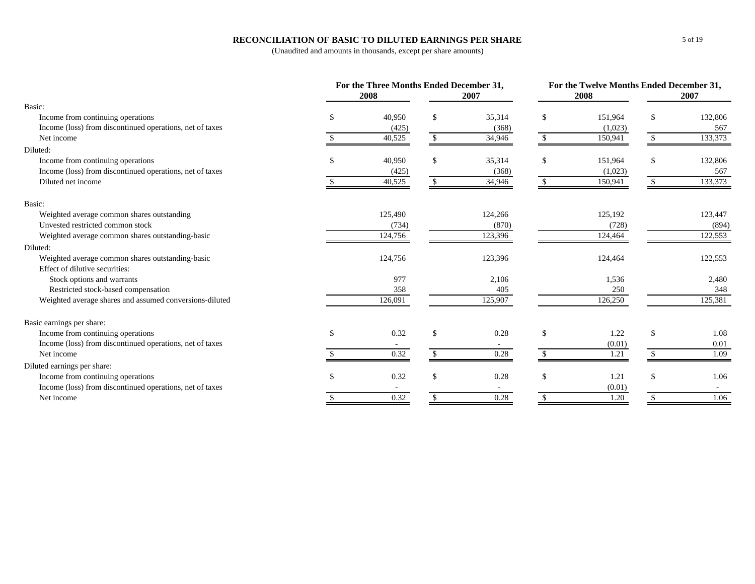#### **RECONCILIATION OF BASIC TO DILUTED EARNINGS PER SHARE**

|                                                          |               | For the Three Months Ended December 31,<br>2007<br>2008 |               |         |               | 2008    | For the Twelve Months Ended December 31,<br>2007 |         |  |
|----------------------------------------------------------|---------------|---------------------------------------------------------|---------------|---------|---------------|---------|--------------------------------------------------|---------|--|
| Basic:                                                   |               |                                                         |               |         |               |         |                                                  |         |  |
| Income from continuing operations                        | £.            | 40.950                                                  | \$            | 35,314  | \$.           | 151,964 | S                                                | 132,806 |  |
| Income (loss) from discontinued operations, net of taxes |               | (425)                                                   |               | (368)   |               | (1,023) |                                                  | 567     |  |
| Net income                                               |               | 40,525                                                  |               | 34,946  |               | 150,941 |                                                  | 133,373 |  |
| Diluted:                                                 |               |                                                         |               |         |               |         |                                                  |         |  |
| Income from continuing operations                        | -S            | 40,950                                                  | <sup>\$</sup> | 35,314  | \$            | 151,964 | S                                                | 132,806 |  |
| Income (loss) from discontinued operations, net of taxes |               | (425)                                                   |               | (368)   |               | (1,023) |                                                  | 567     |  |
| Diluted net income                                       |               | 40,525                                                  |               | 34,946  |               | 150,941 |                                                  | 133,373 |  |
| Basic:                                                   |               |                                                         |               |         |               |         |                                                  |         |  |
| Weighted average common shares outstanding               |               | 125,490                                                 |               | 124,266 |               | 125,192 |                                                  | 123,447 |  |
| Unvested restricted common stock                         |               | (734)                                                   |               | (870)   |               | (728)   |                                                  | (894)   |  |
| Weighted average common shares outstanding-basic         |               | 124,756                                                 |               | 123,396 |               | 124,464 |                                                  | 122,553 |  |
| Diluted:                                                 |               |                                                         |               |         |               |         |                                                  |         |  |
| Weighted average common shares outstanding-basic         |               | 124,756                                                 |               | 123,396 |               | 124,464 |                                                  | 122,553 |  |
| Effect of dilutive securities:                           |               |                                                         |               |         |               |         |                                                  |         |  |
| Stock options and warrants                               |               | 977                                                     |               | 2,106   |               | 1,536   |                                                  | 2,480   |  |
| Restricted stock-based compensation                      |               | 358                                                     |               | 405     |               | 250     |                                                  | 348     |  |
| Weighted average shares and assumed conversions-diluted  |               | 126,091                                                 |               | 125,907 |               | 126,250 |                                                  | 125,381 |  |
| Basic earnings per share:                                |               |                                                         |               |         |               |         |                                                  |         |  |
| Income from continuing operations                        | <sup>\$</sup> | 0.32                                                    | $\mathbb{S}$  | 0.28    | <sup>\$</sup> | 1.22    | $\mathbb{S}$                                     | 1.08    |  |
| Income (loss) from discontinued operations, net of taxes |               |                                                         |               | $\sim$  |               | (0.01)  |                                                  | 0.01    |  |
| Net income                                               |               | 0.32                                                    |               | 0.28    |               | 1.21    |                                                  | 1.09    |  |
| Diluted earnings per share:                              |               |                                                         |               |         |               |         |                                                  |         |  |
| Income from continuing operations                        | <sup>\$</sup> | 0.32                                                    | \$            | 0.28    | \$            | 1.21    | \$                                               | 1.06    |  |
| Income (loss) from discontinued operations, net of taxes |               |                                                         |               | $\sim$  |               | (0.01)  |                                                  |         |  |
| Net income                                               |               | 0.32                                                    |               | 0.28    |               | 1.20    |                                                  | 1.06    |  |
|                                                          |               |                                                         |               |         |               |         |                                                  |         |  |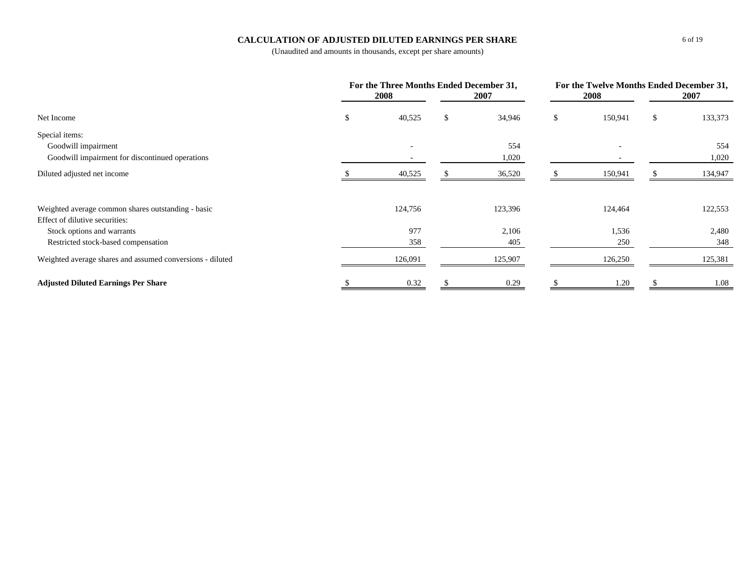#### **CALCULATION OF ADJUSTED DILUTED EARNINGS PER SHARE**

|                                                           | For the Three Months Ended December 31,<br><b>2008</b> | 2007         | <b>2008</b>   | For the Twelve Months Ended December 31,<br>2007 |         |
|-----------------------------------------------------------|--------------------------------------------------------|--------------|---------------|--------------------------------------------------|---------|
| Net Income                                                | \$<br>40,525                                           | \$<br>34,946 | \$<br>150,941 | \$                                               | 133,373 |
| Special items:                                            |                                                        |              |               |                                                  |         |
| Goodwill impairment                                       |                                                        | 554          | ۰             |                                                  | 554     |
| Goodwill impairment for discontinued operations           |                                                        | 1,020        |               |                                                  | 1,020   |
| Diluted adjusted net income                               | 40,525                                                 | 36,520       | 150,941       |                                                  | 134,947 |
| Weighted average common shares outstanding - basic        | 124,756                                                | 123,396      | 124,464       |                                                  | 122,553 |
| Effect of dilutive securities:                            |                                                        |              |               |                                                  |         |
| Stock options and warrants                                | 977                                                    | 2,106        | 1,536         |                                                  | 2,480   |
| Restricted stock-based compensation                       | 358                                                    | 405          | 250           |                                                  | 348     |
| Weighted average shares and assumed conversions - diluted | 126,091                                                | 125,907      | 126,250       |                                                  | 125,381 |
| <b>Adjusted Diluted Earnings Per Share</b>                | 0.32                                                   | 0.29         | 1.20          |                                                  | 1.08    |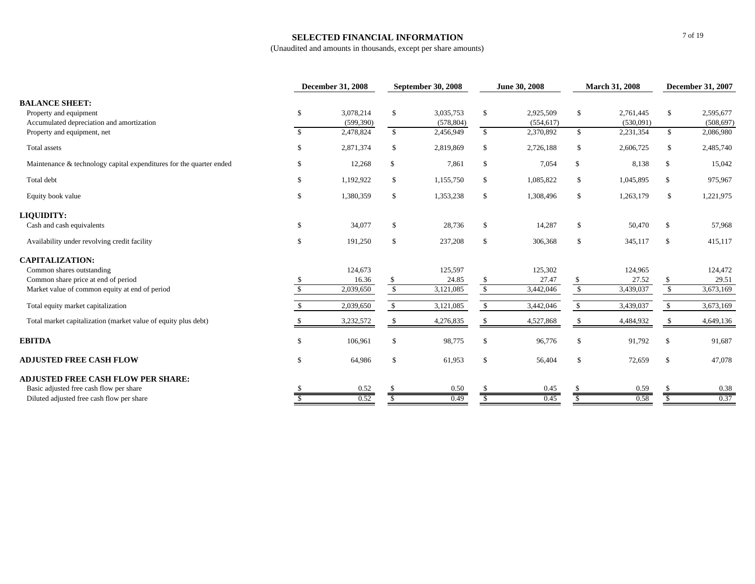#### **SELECTED FINANCIAL INFORMATION**

|                                                                                              |               | <b>December 31, 2008</b> |               | <b>September 30, 2008</b> |                          | June 30, 2008           |                                           | <b>March 31, 2008</b>  |                            | <b>December 31, 2007</b> |
|----------------------------------------------------------------------------------------------|---------------|--------------------------|---------------|---------------------------|--------------------------|-------------------------|-------------------------------------------|------------------------|----------------------------|--------------------------|
| <b>BALANCE SHEET:</b><br>Property and equipment<br>Accumulated depreciation and amortization | \$            | 3,078,214<br>(599, 390)  | $\mathbb{S}$  | 3.035.753<br>(578, 804)   | \$                       | 2.925.509<br>(554, 617) | $\mathbb{S}$                              | 2.761.445<br>(530,091) | $\mathbb{S}$               | 2,595,677<br>(508, 697)  |
| Property and equipment, net                                                                  | $\mathcal{S}$ | 2,478,824                | <sup>S</sup>  | 2,456,949                 | $\mathbb{S}$             | 2,370,892               | $\mathbb{S}$                              | 2,231,354              | $\mathbb{S}$               | 2,086,980                |
| Total assets                                                                                 | \$            | 2,871,374                | $\mathbb{S}$  | 2,819,869                 | $\mathcal{S}$            | 2,726,188               | <sup>\$</sup>                             | 2,606,725              | <sup>\$</sup>              | 2,485,740                |
| Maintenance & technology capital expenditures for the quarter ended                          | \$.           | 12,268                   | <sup>\$</sup> | 7,861                     | $\mathbb{S}$             | 7,054                   | <sup>\$</sup>                             | 8,138                  | $\mathbb{S}$               | 15,042                   |
| Total debt                                                                                   | \$            | 1,192,922                | \$            | 1,155,750                 | \$                       | 1,085,822               | \$                                        | 1,045,895              | \$                         | 975,967                  |
| Equity book value                                                                            | \$            | 1,380,359                | \$            | 1,353,238                 | $\mathcal{S}$            | 1,308,496               | \$                                        | 1,263,179              | $\mathcal{S}$              | 1,221,975                |
| LIQUIDITY:                                                                                   |               |                          |               |                           |                          |                         |                                           |                        |                            |                          |
| Cash and cash equivalents                                                                    | \$            | 34,077                   | \$            | 28,736                    | $\mathbb{S}$             | 14,287                  | \$                                        | 50,470                 | \$                         | 57,968                   |
| Availability under revolving credit facility                                                 | \$            | 191,250                  | \$            | 237,208                   | $\mathcal{S}$            | 306,368                 | \$                                        | 345,117                | \$                         | 415,117                  |
| <b>CAPITALIZATION:</b>                                                                       |               |                          |               |                           |                          |                         |                                           |                        |                            |                          |
| Common shares outstanding                                                                    |               | 124,673                  |               | 125,597                   |                          | 125,302                 |                                           | 124,965                |                            | 124,472                  |
| Common share price at end of period<br>Market value of common equity at end of period        |               | 16.36<br>2,039,650       | $\mathbb{S}$  | 24.85<br>3,121,085        | <sup>\$</sup><br>$\sqrt$ | 27.47<br>3,442,046      | <sup>\$</sup><br>$\overline{\mathcal{S}}$ | 27.52<br>3,439,037     | \$<br>$\sqrt{\frac{2}{2}}$ | 29.51<br>3,673,169       |
| Total equity market capitalization                                                           |               | 2,039,650                | <sup>\$</sup> | 3,121,085                 | <sup>S</sup>             | 3,442,046               | S.                                        | 3,439,037              | $\mathbb{S}$               | 3,673,169                |
| Total market capitalization (market value of equity plus debt)                               |               | 3,232,572                | S             | 4,276,835                 | S                        | 4,527,868               |                                           | 4,484,932              | -S                         | 4,649,136                |
|                                                                                              |               |                          |               |                           |                          |                         |                                           |                        |                            |                          |
| <b>EBITDA</b>                                                                                | \$            | 106,961                  | \$            | 98,775                    | $\mathcal{S}$            | 96,776                  | \$                                        | 91,792                 | \$                         | 91,687                   |
| <b>ADJUSTED FREE CASH FLOW</b>                                                               | \$.           | 64,986                   | \$            | 61,953                    | $\mathbb{S}$             | 56,404                  | \$                                        | 72,659                 | \$                         | 47,078                   |
| <b>ADJUSTED FREE CASH FLOW PER SHARE:</b>                                                    |               |                          |               |                           |                          |                         |                                           |                        |                            |                          |
| Basic adjusted free cash flow per share                                                      |               | 0.52                     |               | 0.50                      |                          | 0.45                    |                                           | 0.59                   |                            | 0.38<br>0.37             |
| Diluted adjusted free cash flow per share                                                    |               | 0.52                     |               | 0.49                      |                          | 0.45                    |                                           | 0.58                   |                            |                          |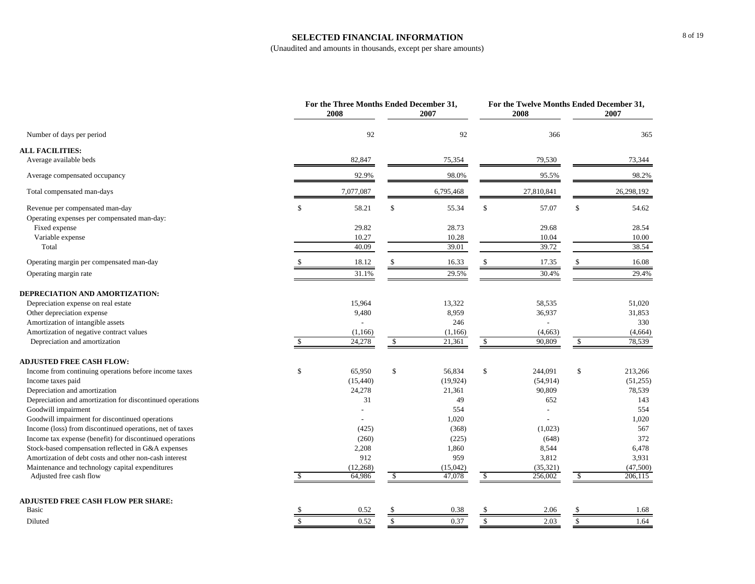#### **SELECTED FINANCIAL INFORMATION**

|                                                           |             | For the Three Months Ended December 31,<br>2008 |             | 2007      |              | For the Twelve Months Ended December 31,<br>2008 |              | 2007       |
|-----------------------------------------------------------|-------------|-------------------------------------------------|-------------|-----------|--------------|--------------------------------------------------|--------------|------------|
| Number of days per period                                 |             | 92                                              |             | 92        |              | 366                                              |              | 365        |
| <b>ALL FACILITIES:</b>                                    |             |                                                 |             |           |              |                                                  |              |            |
| Average available beds                                    |             | 82,847                                          |             | 75,354    |              | 79,530                                           |              | 73,344     |
| Average compensated occupancy                             |             | 92.9%                                           |             | 98.0%     |              | 95.5%                                            |              | 98.2%      |
| Total compensated man-days                                |             | 7,077,087                                       |             | 6,795,468 |              | 27,810,841                                       |              | 26,298,192 |
| Revenue per compensated man-day                           | \$          | 58.21                                           | \$          | 55.34     | $\mathbb{S}$ | 57.07                                            | $\$$         | 54.62      |
| Operating expenses per compensated man-day:               |             |                                                 |             |           |              |                                                  |              |            |
| Fixed expense                                             |             | 29.82                                           |             | 28.73     |              | 29.68                                            |              | 28.54      |
| Variable expense                                          |             | 10.27                                           |             | 10.28     |              | 10.04                                            |              | 10.00      |
| Total                                                     |             | 40.09                                           |             | 39.01     |              | 39.72                                            |              | 38.54      |
| Operating margin per compensated man-day                  |             | 18.12                                           |             | 16.33     | \$.          | 17.35                                            | -S           | 16.08      |
| Operating margin rate                                     |             | 31.1%                                           |             | 29.5%     |              | 30.4%                                            |              | 29.4%      |
| DEPRECIATION AND AMORTIZATION:                            |             |                                                 |             |           |              |                                                  |              |            |
| Depreciation expense on real estate                       |             | 15,964                                          |             | 13,322    |              | 58,535                                           |              | 51,020     |
| Other depreciation expense                                |             | 9,480                                           |             | 8,959     |              | 36,937                                           |              | 31,853     |
| Amortization of intangible assets                         |             |                                                 |             | 246       |              | $\overline{a}$                                   |              | 330        |
| Amortization of negative contract values                  |             | (1,166)                                         |             | (1,166)   |              | (4,663)                                          |              | (4,664)    |
| Depreciation and amortization                             | \$.         | 24,278                                          | S.          | 21,361    | S.           | 90,809                                           | \$           | 78,539     |
| <b>ADJUSTED FREE CASH FLOW:</b>                           |             |                                                 |             |           |              |                                                  |              |            |
| Income from continuing operations before income taxes     | \$          | 65,950                                          | \$          | 56,834    | \$           | 244,091                                          | $\mathbb S$  | 213,266    |
| Income taxes paid                                         |             | (15, 440)                                       |             | (19, 924) |              | (54, 914)                                        |              | (51,255)   |
| Depreciation and amortization                             |             | 24,278                                          |             | 21,361    |              | 90,809                                           |              | 78,539     |
| Depreciation and amortization for discontinued operations |             | 31                                              |             | 49        |              | 652                                              |              | 143        |
| Goodwill impairment                                       |             |                                                 |             | 554       |              | $\overline{a}$                                   |              | 554        |
| Goodwill impairment for discontinued operations           |             |                                                 |             | 1,020     |              |                                                  |              | 1,020      |
| Income (loss) from discontinued operations, net of taxes  |             | (425)                                           |             | (368)     |              | (1,023)                                          |              | 567        |
| Income tax expense (benefit) for discontinued operations  |             | (260)                                           |             | (225)     |              | (648)                                            |              | 372        |
| Stock-based compensation reflected in G&A expenses        |             | 2,208                                           |             | 1,860     |              | 8,544                                            |              | 6,478      |
| Amortization of debt costs and other non-cash interest    |             | 912                                             |             | 959       |              | 3,812                                            |              | 3,931      |
| Maintenance and technology capital expenditures           |             | (12,268)                                        |             | (15,042)  |              | (35, 321)                                        |              | (47,500)   |
| Adjusted free cash flow                                   |             | 64,986                                          | S.          | 47,078    | \$           | 256,002                                          | \$           | 206,115    |
| <b>ADJUSTED FREE CASH FLOW PER SHARE:</b>                 |             |                                                 |             |           |              |                                                  |              |            |
| Basic                                                     |             | 0.52                                            | £.          | 0.38      |              | 2.06                                             | \$           | 1.68       |
| Diluted                                                   | $\mathbb S$ | 0.52                                            | $\mathbb S$ | 0.37      | $\mathbb{S}$ | 2.03                                             | $\mathbb{S}$ | 1.64       |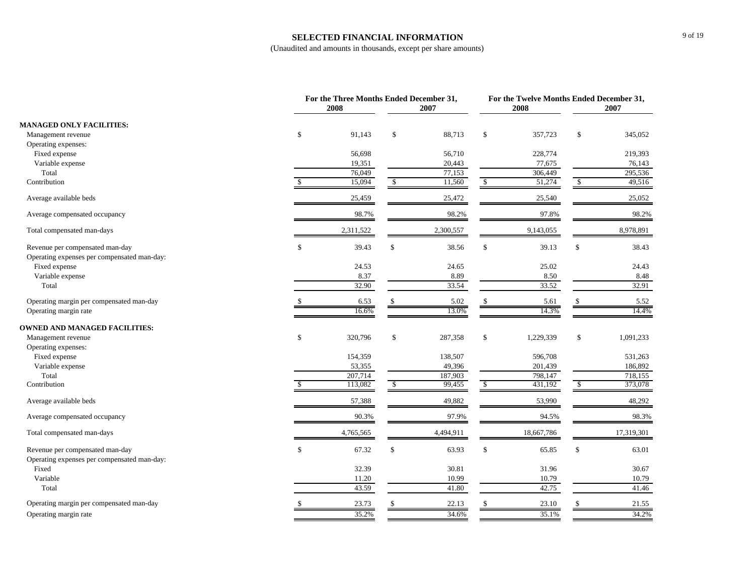#### **SELECTED FINANCIAL INFORMATION**

|                                                                                |              | For the Three Months Ended December 31, |               |           |              |            | For the Twelve Months Ended December 31, |            |  |
|--------------------------------------------------------------------------------|--------------|-----------------------------------------|---------------|-----------|--------------|------------|------------------------------------------|------------|--|
|                                                                                |              | 2008                                    |               | 2007      |              | 2008       |                                          | 2007       |  |
| <b>MANAGED ONLY FACILITIES:</b>                                                |              |                                         |               |           |              |            |                                          |            |  |
| Management revenue                                                             | \$           | 91,143                                  | \$            | 88,713    | \$           | 357,723    | $\$$                                     | 345,052    |  |
| Operating expenses:                                                            |              |                                         |               |           |              |            |                                          |            |  |
| Fixed expense                                                                  |              | 56,698                                  |               | 56,710    |              | 228,774    |                                          | 219,393    |  |
| Variable expense                                                               |              | 19,351                                  |               | 20,443    |              | 77,675     |                                          | 76,143     |  |
| Total                                                                          |              | 76,049                                  |               | 77,153    |              | 306,449    |                                          | 295,536    |  |
| Contribution                                                                   |              | 15,094                                  | -S            | 11,560    | $\mathbb{S}$ | 51,274     | -S                                       | 49,516     |  |
| Average available beds                                                         |              | 25,459                                  |               | 25,472    |              | 25,540     |                                          | 25,052     |  |
| Average compensated occupancy                                                  |              | 98.7%                                   |               | 98.2%     |              | 97.8%      |                                          | 98.2%      |  |
| Total compensated man-days                                                     |              | 2,311,522                               |               | 2,300,557 |              | 9,143,055  |                                          | 8,978,891  |  |
| Revenue per compensated man-day<br>Operating expenses per compensated man-day: | $\mathbb{S}$ | 39.43                                   | \$            | 38.56     | $\mathbb{S}$ | 39.13      | $\mathbb{S}$                             | 38.43      |  |
| Fixed expense                                                                  |              | 24.53                                   |               | 24.65     |              | 25.02      |                                          | 24.43      |  |
| Variable expense                                                               |              | 8.37                                    |               | 8.89      |              | 8.50       |                                          | 8.48       |  |
| Total                                                                          |              | 32.90                                   |               | 33.54     |              | 33.52      |                                          | 32.91      |  |
| Operating margin per compensated man-day                                       |              | 6.53                                    |               | 5.02      |              | 5.61       |                                          | 5.52       |  |
| Operating margin rate                                                          |              | 16.6%                                   |               | 13.0%     |              | 14.3%      |                                          | 14.4%      |  |
| <b>OWNED AND MANAGED FACILITIES:</b>                                           |              |                                         |               |           |              |            |                                          |            |  |
| Management revenue                                                             | \$           | 320,796                                 | \$            | 287,358   | $\mathbb{S}$ | 1,229,339  | \$                                       | 1,091,233  |  |
| Operating expenses:                                                            |              |                                         |               |           |              |            |                                          |            |  |
| Fixed expense                                                                  |              | 154,359                                 |               | 138,507   |              | 596,708    |                                          | 531,263    |  |
| Variable expense                                                               |              | 53,355                                  |               | 49,396    |              | 201,439    |                                          | 186,892    |  |
| Total                                                                          |              | 207,714                                 |               | 187,903   |              | 798,147    |                                          | 718,155    |  |
| Contribution                                                                   |              | 113,082                                 | $\mathcal{S}$ | 99,455    | $\mathbb{S}$ | 431,192    | $\mathbb{S}$                             | 373,078    |  |
| Average available beds                                                         |              | 57,388                                  |               | 49,882    |              | 53,990     |                                          | 48,292     |  |
| Average compensated occupancy                                                  |              | 90.3%                                   |               | 97.9%     |              | 94.5%      |                                          | 98.3%      |  |
| Total compensated man-days                                                     |              | 4,765,565                               |               | 4,494,911 |              | 18,667,786 |                                          | 17,319,301 |  |
| Revenue per compensated man-day                                                | $\mathbb{S}$ | 67.32                                   | \$            | 63.93     | $\mathbb{S}$ | 65.85      | $\mathbb{S}$                             | 63.01      |  |
| Operating expenses per compensated man-day:                                    |              |                                         |               |           |              |            |                                          |            |  |
| Fixed                                                                          |              | 32.39                                   |               | 30.81     |              | 31.96      |                                          | 30.67      |  |
| Variable                                                                       |              | 11.20                                   |               | 10.99     |              | 10.79      |                                          | 10.79      |  |
| Total                                                                          |              | 43.59                                   |               | 41.80     |              | 42.75      |                                          | 41.46      |  |
| Operating margin per compensated man-day                                       |              | 23.73                                   |               | 22.13     |              | 23.10      |                                          | 21.55      |  |
| Operating margin rate                                                          |              | 35.2%                                   |               | 34.6%     |              | 35.1%      |                                          | 34.2%      |  |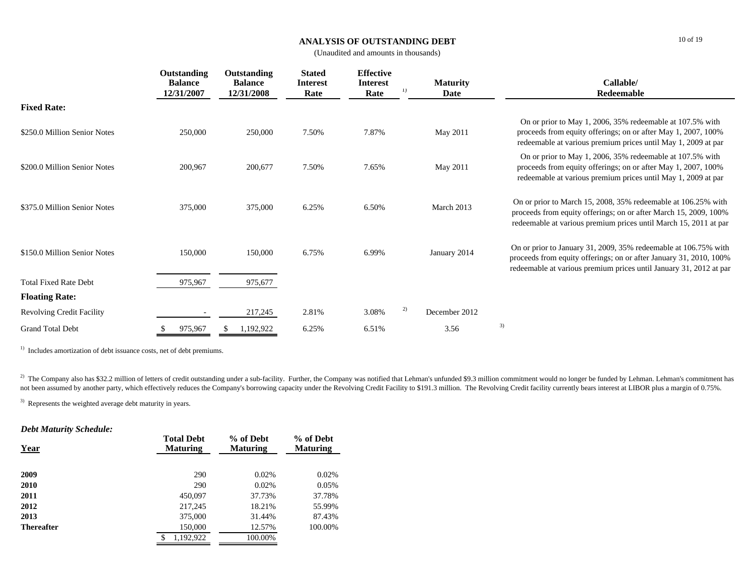#### **ANALYSIS OF OUTSTANDING DEBT**

10 of 19

(Unaudited and amounts in thousands)

|                                  | Outstanding<br><b>Balance</b><br>12/31/2007 | Outstanding<br><b>Balance</b><br>12/31/2008 | <b>Stated</b><br><b>Interest</b><br>Rate | <b>Effective</b><br>Interest<br>Rate |    | <b>Maturity</b><br>Date | Callable/<br>Redeemable                                                                                                                                                                                     |
|----------------------------------|---------------------------------------------|---------------------------------------------|------------------------------------------|--------------------------------------|----|-------------------------|-------------------------------------------------------------------------------------------------------------------------------------------------------------------------------------------------------------|
| <b>Fixed Rate:</b>               |                                             |                                             |                                          |                                      |    |                         |                                                                                                                                                                                                             |
| \$250.0 Million Senior Notes     | 250,000                                     | 250,000                                     | 7.50%                                    | 7.87%                                |    | May 2011                | On or prior to May 1, 2006, 35% redeemable at 107.5% with<br>proceeds from equity offerings; on or after May 1, 2007, 100%<br>redeemable at various premium prices until May 1, 2009 at par                 |
| \$200.0 Million Senior Notes     | 200,967                                     | 200,677                                     | 7.50%                                    | 7.65%                                |    | May 2011                | On or prior to May 1, 2006, 35% redeemable at 107.5% with<br>proceeds from equity offerings; on or after May 1, 2007, 100%<br>redeemable at various premium prices until May 1, 2009 at par                 |
| \$375.0 Million Senior Notes     | 375,000                                     | 375,000                                     | 6.25%                                    | 6.50%                                |    | March 2013              | On or prior to March 15, 2008, 35% redeemable at 106.25% with<br>proceeds from equity offerings; on or after March 15, 2009, 100%<br>redeemable at various premium prices until March 15, 2011 at par       |
| \$150.0 Million Senior Notes     | 150,000                                     | 150,000                                     | 6.75%                                    | 6.99%                                |    | January 2014            | On or prior to January 31, 2009, 35% redeemable at 106.75% with<br>proceeds from equity offerings; on or after January 31, 2010, 100%<br>redeemable at various premium prices until January 31, 2012 at par |
| <b>Total Fixed Rate Debt</b>     | 975,967                                     | 975,677                                     |                                          |                                      |    |                         |                                                                                                                                                                                                             |
| <b>Floating Rate:</b>            |                                             |                                             |                                          |                                      |    |                         |                                                                                                                                                                                                             |
| <b>Revolving Credit Facility</b> |                                             | 217,245                                     | 2.81%                                    | 3.08%                                | 2) | December 2012           |                                                                                                                                                                                                             |
| <b>Grand Total Debt</b>          | 975,967                                     | ,192,922                                    | 6.25%                                    | 6.51%                                |    | 3.56                    | 3)                                                                                                                                                                                                          |

<sup>1)</sup> Includes amortization of debt issuance costs, net of debt premiums.

<sup>2)</sup> The Company also has \$32.2 million of letters of credit outstanding under a sub-facility. Further, the Company was notified that Lehman's unfunded \$9.3 million commitment would no longer be funded by Lehman. Lehman's not been assumed by another party, which effectively reduces the Company's borrowing capacity under the Revolving Credit Facility to \$191.3 million. The Revolving Credit facility currently bears interest at LIBOR plus a ma

<sup>3)</sup> Represents the weighted average debt maturity in years.

## *Debt Maturity Schedule:*

| <u>Year</u>       | <b>Total Debt</b><br><b>Maturing</b> | % of Debt<br><b>Maturing</b> | % of Debt<br><b>Maturing</b> |
|-------------------|--------------------------------------|------------------------------|------------------------------|
| 2009              | 290                                  | 0.02%                        | 0.02%                        |
| 2010              | 290                                  | 0.02%                        | 0.05%                        |
| 2011              | 450,097                              | 37.73%                       | 37.78%                       |
| 2012              | 217,245                              | 18.21%                       | 55.99%                       |
| 2013              | 375,000                              | 31.44%                       | 87.43%                       |
| <b>Thereafter</b> | 150,000                              | 12.57%                       | 100.00%                      |
|                   | 1,192,922<br>\$                      | 100.00%                      |                              |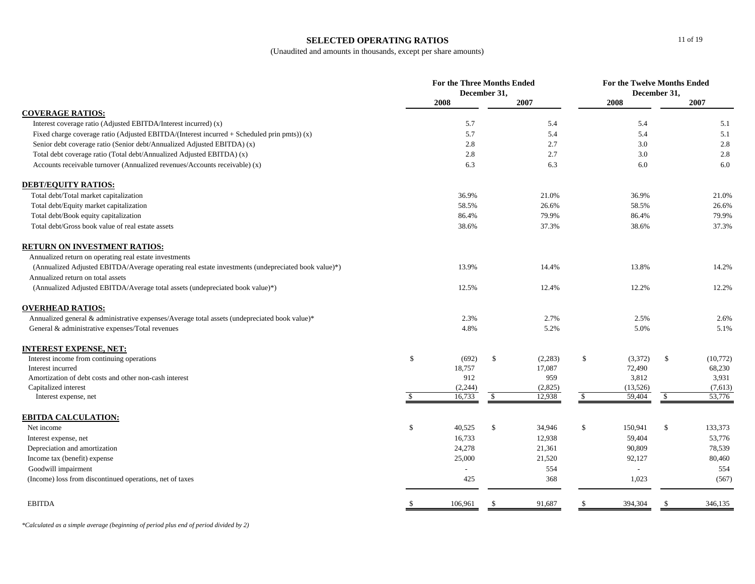#### **SELECTED OPERATING RATIOS**

(Unaudited and amounts in thousands, except per share amounts)

|                                                                                                    | For the Three Months Ended<br>December 31, |         |    | For the Twelve Months Ended<br>December 31, |               |                          |              |           |
|----------------------------------------------------------------------------------------------------|--------------------------------------------|---------|----|---------------------------------------------|---------------|--------------------------|--------------|-----------|
|                                                                                                    |                                            | 2008    |    | 2007                                        |               | 2008                     |              | 2007      |
| <b>COVERAGE RATIOS:</b>                                                                            |                                            |         |    |                                             |               |                          |              |           |
| Interest coverage ratio (Adjusted EBITDA/Interest incurred) (x)                                    |                                            | 5.7     |    | 5.4                                         |               | 5.4                      |              | 5.1       |
| Fixed charge coverage ratio (Adjusted EBITDA/(Interest incurred + Scheduled prin pmts)) $(x)$      |                                            | 5.7     |    | 5.4                                         |               | 5.4                      |              | 5.1       |
| Senior debt coverage ratio (Senior debt/Annualized Adjusted EBITDA) (x)                            |                                            | 2.8     |    | 2.7                                         |               | 3.0                      |              | 2.8       |
| Total debt coverage ratio (Total debt/Annualized Adjusted EBITDA) (x)                              |                                            | 2.8     |    | 2.7                                         |               | 3.0                      |              | 2.8       |
| Accounts receivable turnover (Annualized revenues/Accounts receivable) (x)                         |                                            | 6.3     |    | 6.3                                         |               | 6.0                      |              | 6.0       |
| <b>DEBT/EQUITY RATIOS:</b>                                                                         |                                            |         |    |                                             |               |                          |              |           |
| Total debt/Total market capitalization                                                             |                                            | 36.9%   |    | 21.0%                                       |               | 36.9%                    |              | 21.0%     |
| Total debt/Equity market capitalization                                                            |                                            | 58.5%   |    | 26.6%                                       |               | 58.5%                    |              | 26.6%     |
| Total debt/Book equity capitalization                                                              |                                            | 86.4%   |    | 79.9%                                       |               | 86.4%                    |              | 79.9%     |
| Total debt/Gross book value of real estate assets                                                  |                                            | 38.6%   |    | 37.3%                                       |               | 38.6%                    |              | 37.3%     |
| <b>RETURN ON INVESTMENT RATIOS:</b>                                                                |                                            |         |    |                                             |               |                          |              |           |
| Annualized return on operating real estate investments                                             |                                            |         |    |                                             |               |                          |              |           |
| (Annualized Adjusted EBITDA/Average operating real estate investments (undepreciated book value)*) |                                            | 13.9%   |    | 14.4%                                       |               | 13.8%                    |              | 14.2%     |
| Annualized return on total assets                                                                  |                                            |         |    |                                             |               |                          |              |           |
| (Annualized Adjusted EBITDA/Average total assets (undepreciated book value)*)                      |                                            | 12.5%   |    | 12.4%                                       |               | 12.2%                    |              | 12.2%     |
| <b>OVERHEAD RATIOS:</b>                                                                            |                                            |         |    |                                             |               |                          |              |           |
| Annualized general & administrative expenses/Average total assets (undepreciated book value)*      |                                            | 2.3%    |    | 2.7%                                        |               | 2.5%                     |              | 2.6%      |
| General & administrative expenses/Total revenues                                                   |                                            | 4.8%    |    | 5.2%                                        |               | 5.0%                     |              | 5.1%      |
| <b>INTEREST EXPENSE, NET:</b>                                                                      |                                            |         |    |                                             |               |                          |              |           |
| Interest income from continuing operations                                                         | $\mathbb S$                                | (692)   | \$ | (2, 283)                                    | \$            | (3,372)                  | $\mathbb{S}$ | (10, 772) |
| Interest incurred                                                                                  |                                            | 18,757  |    | 17,087                                      |               | 72,490                   |              | 68,230    |
| Amortization of debt costs and other non-cash interest                                             |                                            | 912     |    | 959                                         |               | 3,812                    |              | 3,931     |
| Capitalized interest                                                                               |                                            | (2,244) |    | (2,825)                                     |               | (13,526)                 |              | (7,613)   |
| Interest expense, net                                                                              | -S                                         | 16,733  | \$ | 12,938                                      | <sup>\$</sup> | 59,404                   | $\mathbb{S}$ | 53,776    |
| <b>EBITDA CALCULATION:</b>                                                                         |                                            |         |    |                                             |               |                          |              |           |
| Net income                                                                                         | \$                                         | 40,525  | \$ | 34,946                                      | $\mathbb{S}$  | 150,941                  | \$           | 133,373   |
| Interest expense, net                                                                              |                                            | 16,733  |    | 12,938                                      |               | 59,404                   |              | 53,776    |
| Depreciation and amortization                                                                      |                                            | 24,278  |    | 21,361                                      |               | 90,809                   |              | 78,539    |
| Income tax (benefit) expense                                                                       |                                            | 25,000  |    | 21,520                                      |               | 92,127                   |              | 80,460    |
| Goodwill impairment                                                                                |                                            |         |    | 554                                         |               | $\overline{\phantom{a}}$ |              | 554       |
| (Income) loss from discontinued operations, net of taxes                                           |                                            | 425     |    | 368                                         |               | 1,023                    |              | (567)     |
| <b>EBITDA</b>                                                                                      |                                            | 106,961 | -8 | 91,687                                      |               | 394,304                  | -S           | 346,135   |
|                                                                                                    |                                            |         |    |                                             |               |                          |              |           |

*\*Calculated as a simple average (beginning of period plus end of period divided by 2)*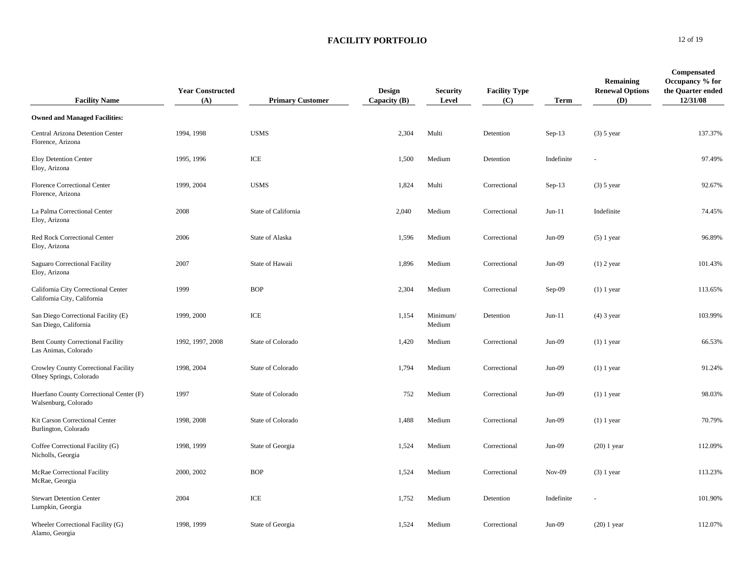| <b>Facility Name</b>                                               | <b>Year Constructed</b><br>(A) | <b>Primary Customer</b> | <b>Design</b><br>Capacity (B) | <b>Security</b><br>Level | <b>Facility Type</b><br>(C) | <b>Term</b> | Remaining<br><b>Renewal Options</b><br>(D) | <b>Compensated</b><br>Occupancy % for<br>the Quarter ended<br>12/31/08 |
|--------------------------------------------------------------------|--------------------------------|-------------------------|-------------------------------|--------------------------|-----------------------------|-------------|--------------------------------------------|------------------------------------------------------------------------|
| <b>Owned and Managed Facilities:</b>                               |                                |                         |                               |                          |                             |             |                                            |                                                                        |
| Central Arizona Detention Center<br>Florence, Arizona              | 1994, 1998                     | <b>USMS</b>             | 2,304                         | Multi                    | Detention                   | $Sep-13$    | $(3)$ 5 year                               | 137.37%                                                                |
| <b>Eloy Detention Center</b><br>Eloy, Arizona                      | 1995, 1996                     | ICE                     | 1,500                         | Medium                   | Detention                   | Indefinite  |                                            | 97.49%                                                                 |
| <b>Florence Correctional Center</b><br>Florence, Arizona           | 1999, 2004                     | <b>USMS</b>             | 1,824                         | Multi                    | Correctional                | $Sep-13$    | $(3)$ 5 year                               | 92.67%                                                                 |
| La Palma Correctional Center<br>Eloy, Arizona                      | 2008                           | State of California     | 2,040                         | Medium                   | Correctional                | $Jun-11$    | Indefinite                                 | 74.45%                                                                 |
| Red Rock Correctional Center<br>Eloy, Arizona                      | 2006                           | State of Alaska         | 1,596                         | Medium                   | Correctional                | $Jun-09$    | $(5)$ 1 year                               | 96.89%                                                                 |
| Saguaro Correctional Facility<br>Eloy, Arizona                     | 2007                           | State of Hawaii         | 1,896                         | Medium                   | Correctional                | $Jun-09$    | $(1)$ 2 year                               | 101.43%                                                                |
| California City Correctional Center<br>California City, California | 1999                           | <b>BOP</b>              | 2,304                         | Medium                   | Correctional                | Sep-09      | $(1)$ 1 year                               | 113.65%                                                                |
| San Diego Correctional Facility (E)<br>San Diego, California       | 1999, 2000                     | ICE                     | 1,154                         | Minimum/<br>Medium       | Detention                   | $Jun-11$    | $(4)$ 3 year                               | 103.99%                                                                |
| <b>Bent County Correctional Facility</b><br>Las Animas, Colorado   | 1992, 1997, 2008               | State of Colorado       | 1,420                         | Medium                   | Correctional                | $Jun-09$    | $(1)$ 1 year                               | 66.53%                                                                 |
| Crowley County Correctional Facility<br>Olney Springs, Colorado    | 1998, 2004                     | State of Colorado       | 1,794                         | Medium                   | Correctional                | $Jun-09$    | $(1)$ 1 year                               | 91.24%                                                                 |
| Huerfano County Correctional Center (F)<br>Walsenburg, Colorado    | 1997                           | State of Colorado       | 752                           | Medium                   | Correctional                | $Jun-09$    | $(1)$ 1 year                               | 98.03%                                                                 |
| Kit Carson Correctional Center<br>Burlington, Colorado             | 1998, 2008                     | State of Colorado       | 1,488                         | Medium                   | Correctional                | $Jun-09$    | $(1)$ 1 year                               | 70.79%                                                                 |
| Coffee Correctional Facility (G)<br>Nicholls, Georgia              | 1998, 1999                     | State of Georgia        | 1,524                         | Medium                   | Correctional                | Jun-09      | $(20)$ 1 year                              | 112.09%                                                                |
| McRae Correctional Facility<br>McRae, Georgia                      | 2000, 2002                     | <b>BOP</b>              | 1,524                         | Medium                   | Correctional                | $Nov-09$    | $(3)$ 1 year                               | 113.23%                                                                |
| <b>Stewart Detention Center</b><br>Lumpkin, Georgia                | 2004                           | ICE                     | 1,752                         | Medium                   | Detention                   | Indefinite  |                                            | 101.90%                                                                |
| Wheeler Correctional Facility (G)<br>Alamo, Georgia                | 1998, 1999                     | State of Georgia        | 1,524                         | Medium                   | Correctional                | $Jun-09$    | $(20)$ 1 year                              | 112.07%                                                                |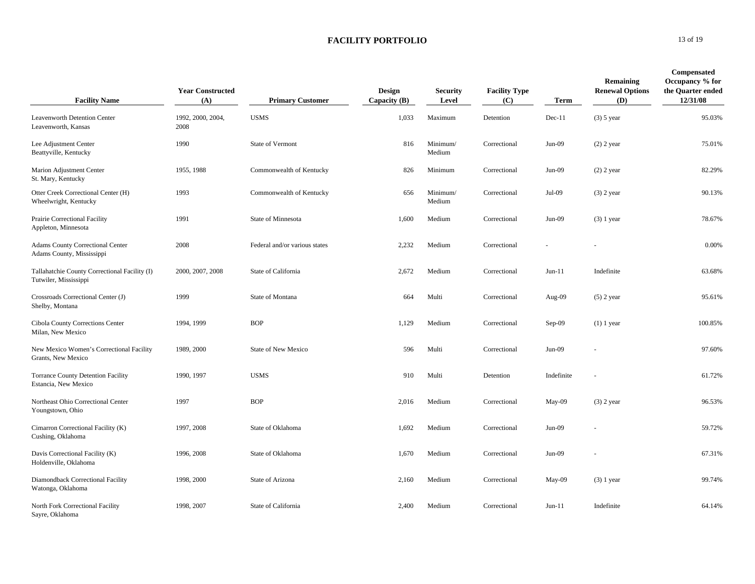| <b>Facility Name</b>                                                   | <b>Year Constructed</b><br>(A) | <b>Primary Customer</b>       | <b>Design</b><br>Capacity $(B)$ | <b>Security</b><br>Level | <b>Facility Type</b><br>(C) | Term       | Remaining<br><b>Renewal Options</b><br>(D) | Compensated<br>Occupancy % for<br>the Quarter ended<br>12/31/08 |
|------------------------------------------------------------------------|--------------------------------|-------------------------------|---------------------------------|--------------------------|-----------------------------|------------|--------------------------------------------|-----------------------------------------------------------------|
| Leavenworth Detention Center<br>Leavenworth, Kansas                    | 1992, 2000, 2004,<br>2008      | <b>USMS</b>                   | 1,033                           | Maximum                  | Detention                   | $Dec-11$   | $(3)$ 5 year                               | 95.03%                                                          |
| Lee Adjustment Center<br>Beattyville, Kentucky                         | 1990                           | <b>State of Vermont</b>       | 816                             | Minimum/<br>Medium       | Correctional                | $Jun-09$   | $(2)$ 2 year                               | 75.01%                                                          |
| Marion Adjustment Center<br>St. Mary, Kentucky                         | 1955, 1988                     | Commonwealth of Kentucky      | 826                             | Minimum                  | Correctional                | $Jun-09$   | $(2)$ 2 year                               | 82.29%                                                          |
| Otter Creek Correctional Center (H)<br>Wheelwright, Kentucky           | 1993                           | Commonwealth of Kentucky      | 656                             | Minimum/<br>Medium       | Correctional                | Jul-09     | $(3)$ 2 year                               | 90.13%                                                          |
| Prairie Correctional Facility<br>Appleton, Minnesota                   | 1991                           | State of Minnesota            | 1,600                           | Medium                   | Correctional                | $Jun-09$   | $(3)$ 1 year                               | 78.67%                                                          |
| Adams County Correctional Center<br>Adams County, Mississippi          | 2008                           | Federal and/or various states | 2,232                           | Medium                   | Correctional                |            |                                            | 0.00%                                                           |
| Tallahatchie County Correctional Facility (I)<br>Tutwiler, Mississippi | 2000, 2007, 2008               | State of California           | 2,672                           | Medium                   | Correctional                | $Jun-11$   | Indefinite                                 | 63.68%                                                          |
| Crossroads Correctional Center (J)<br>Shelby, Montana                  | 1999                           | State of Montana              | 664                             | Multi                    | Correctional                | Aug-09     | $(5)$ 2 year                               | 95.61%                                                          |
| Cibola County Corrections Center<br>Milan, New Mexico                  | 1994, 1999                     | <b>BOP</b>                    | 1,129                           | Medium                   | Correctional                | $Sep-09$   | $(1)$ 1 year                               | 100.85%                                                         |
| New Mexico Women's Correctional Facility<br>Grants, New Mexico         | 1989, 2000                     | <b>State of New Mexico</b>    | 596                             | Multi                    | Correctional                | $Jun-09$   |                                            | 97.60%                                                          |
| <b>Torrance County Detention Facility</b><br>Estancia, New Mexico      | 1990, 1997                     | <b>USMS</b>                   | 910                             | Multi                    | Detention                   | Indefinite |                                            | 61.72%                                                          |
| Northeast Ohio Correctional Center<br>Youngstown, Ohio                 | 1997                           | <b>BOP</b>                    | 2,016                           | Medium                   | Correctional                | May-09     | $(3)$ 2 year                               | 96.53%                                                          |
| Cimarron Correctional Facility (K)<br>Cushing, Oklahoma                | 1997, 2008                     | State of Oklahoma             | 1,692                           | Medium                   | Correctional                | $Jun-09$   |                                            | 59.72%                                                          |
| Davis Correctional Facility (K)<br>Holdenville, Oklahoma               | 1996, 2008                     | State of Oklahoma             | 1,670                           | Medium                   | Correctional                | $Jun-09$   |                                            | 67.31%                                                          |
| Diamondback Correctional Facility<br>Watonga, Oklahoma                 | 1998, 2000                     | State of Arizona              | 2,160                           | Medium                   | Correctional                | $May-09$   | $(3)$ 1 year                               | 99.74%                                                          |
| North Fork Correctional Facility<br>Sayre, Oklahoma                    | 1998, 2007                     | State of California           | 2,400                           | Medium                   | Correctional                | $Jun-11$   | Indefinite                                 | 64.14%                                                          |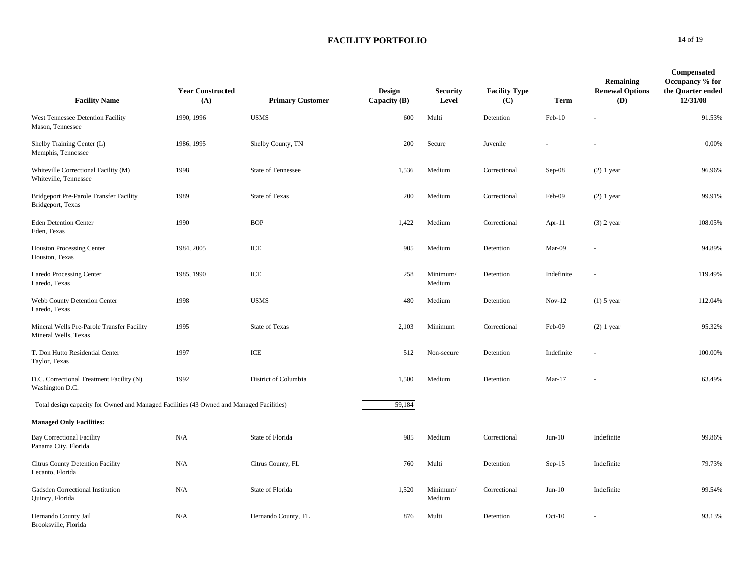| <b>Facility Name</b>                                                                     | <b>Year Constructed</b><br>(A) | <b>Primary Customer</b>   | <b>Design</b><br>Capacity (B) | <b>Security</b><br>Level | <b>Facility Type</b><br>(C) | Term       | Remaining<br><b>Renewal Options</b><br>(D) | <b>Compensated</b><br>Occupancy % for<br>the Quarter ended<br>12/31/08 |
|------------------------------------------------------------------------------------------|--------------------------------|---------------------------|-------------------------------|--------------------------|-----------------------------|------------|--------------------------------------------|------------------------------------------------------------------------|
| West Tennessee Detention Facility<br>Mason, Tennessee                                    | 1990, 1996                     | <b>USMS</b>               | 600                           | Multi                    | Detention                   | Feb-10     |                                            | 91.53%                                                                 |
| Shelby Training Center (L)<br>Memphis, Tennessee                                         | 1986, 1995                     | Shelby County, TN         | 200                           | Secure                   | Juvenile                    |            |                                            | 0.00%                                                                  |
| Whiteville Correctional Facility (M)<br>Whiteville, Tennessee                            | 1998                           | <b>State of Tennessee</b> | 1,536                         | Medium                   | Correctional                | $Sep-08$   | $(2)$ 1 year                               | 96.96%                                                                 |
| <b>Bridgeport Pre-Parole Transfer Facility</b><br>Bridgeport, Texas                      | 1989                           | <b>State of Texas</b>     | 200                           | Medium                   | Correctional                | Feb-09     | $(2)$ 1 year                               | 99.91%                                                                 |
| <b>Eden Detention Center</b><br>Eden, Texas                                              | 1990                           | <b>BOP</b>                | 1,422                         | Medium                   | Correctional                | Apr-11     | $(3)$ 2 year                               | 108.05%                                                                |
| <b>Houston Processing Center</b><br>Houston, Texas                                       | 1984, 2005                     | ICE                       | 905                           | Medium                   | Detention                   | Mar-09     |                                            | 94.89%                                                                 |
| Laredo Processing Center<br>Laredo, Texas                                                | 1985, 1990                     | ICE                       | 258                           | Minimum/<br>Medium       | Detention                   | Indefinite |                                            | 119.49%                                                                |
| Webb County Detention Center<br>Laredo, Texas                                            | 1998                           | <b>USMS</b>               | 480                           | Medium                   | Detention                   | $Nov-12$   | $(1)$ 5 year                               | 112.04%                                                                |
| Mineral Wells Pre-Parole Transfer Facility<br>Mineral Wells, Texas                       | 1995                           | <b>State of Texas</b>     | 2,103                         | Minimum                  | Correctional                | Feb-09     | $(2)$ 1 year                               | 95.32%                                                                 |
| T. Don Hutto Residential Center<br>Taylor, Texas                                         | 1997                           | ICE                       | 512                           | Non-secure               | Detention                   | Indefinite |                                            | 100.00%                                                                |
| D.C. Correctional Treatment Facility (N)<br>Washington D.C.                              | 1992                           | District of Columbia      | 1,500                         | Medium                   | Detention                   | $Mar-17$   |                                            | 63.49%                                                                 |
| Total design capacity for Owned and Managed Facilities (43 Owned and Managed Facilities) |                                |                           | 59,184                        |                          |                             |            |                                            |                                                                        |
| <b>Managed Only Facilities:</b>                                                          |                                |                           |                               |                          |                             |            |                                            |                                                                        |
| <b>Bay Correctional Facility</b><br>Panama City, Florida                                 | N/A                            | State of Florida          | 985                           | Medium                   | Correctional                | $Jun-10$   | Indefinite                                 | 99.86%                                                                 |
| Citrus County Detention Facility<br>Lecanto, Florida                                     | N/A                            | Citrus County, FL         | 760                           | Multi                    | Detention                   | $Sep-15$   | Indefinite                                 | 79.73%                                                                 |
| Gadsden Correctional Institution<br>Quincy, Florida                                      | N/A                            | State of Florida          | 1,520                         | Minimum/<br>Medium       | Correctional                | $Jun-10$   | Indefinite                                 | 99.54%                                                                 |
| Hernando County Jail<br>Brooksville, Florida                                             | N/A                            | Hernando County, FL       | 876                           | Multi                    | Detention                   | $Oct-10$   |                                            | 93.13%                                                                 |

#### **0** 14 of 19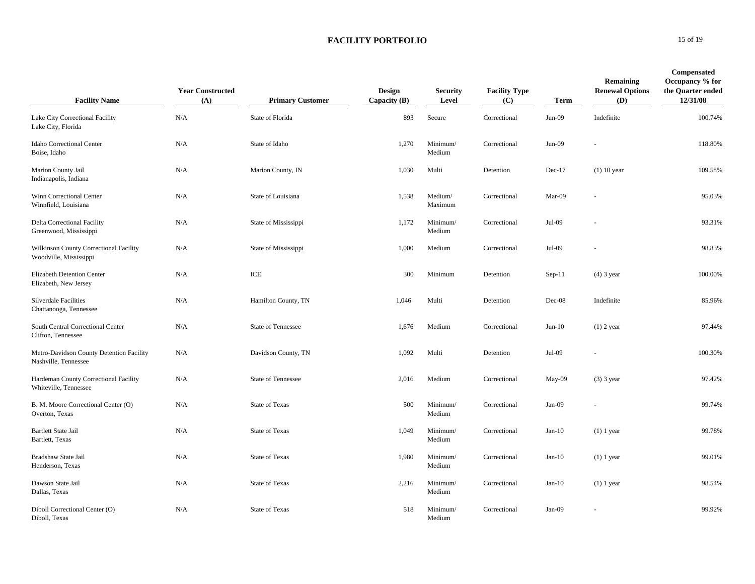| <b>Facility Name</b>                                             | <b>Year Constructed</b><br>(A) | <b>Primary Customer</b> | <b>Design</b><br>Capacity $(B)$ | <b>Security</b><br>Level | <b>Facility Type</b><br>(C) | Term     | Remaining<br><b>Renewal Options</b><br>(D) | <b>Compensated</b><br>Occupancy % for<br>the Quarter ended<br>12/31/08 |
|------------------------------------------------------------------|--------------------------------|-------------------------|---------------------------------|--------------------------|-----------------------------|----------|--------------------------------------------|------------------------------------------------------------------------|
| Lake City Correctional Facility<br>Lake City, Florida            | N/A                            | State of Florida        | 893                             | Secure                   | Correctional                | $Jun-09$ | Indefinite                                 | 100.74%                                                                |
| <b>Idaho Correctional Center</b><br>Boise, Idaho                 | N/A                            | State of Idaho          | 1,270                           | Minimum/<br>Medium       | Correctional                | $Jun-09$ |                                            | 118.80%                                                                |
| Marion County Jail<br>Indianapolis, Indiana                      | N/A                            | Marion County, IN       | 1,030                           | Multi                    | Detention                   | $Dec-17$ | $(1)$ 10 year                              | 109.58%                                                                |
| Winn Correctional Center<br>Winnfield, Louisiana                 | N/A                            | State of Louisiana      | 1,538                           | Medium/<br>Maximum       | Correctional                | Mar-09   |                                            | 95.03%                                                                 |
| Delta Correctional Facility<br>Greenwood, Mississippi            | N/A                            | State of Mississippi    | 1,172                           | Minimum/<br>Medium       | Correctional                | Jul-09   |                                            | 93.31%                                                                 |
| Wilkinson County Correctional Facility<br>Woodville, Mississippi | N/A                            | State of Mississippi    | 1,000                           | Medium                   | Correctional                | Jul-09   |                                            | 98.83%                                                                 |
| <b>Elizabeth Detention Center</b><br>Elizabeth, New Jersey       | N/A                            | ICE                     | 300                             | Minimum                  | Detention                   | $Sep-11$ | $(4)$ 3 year                               | 100.00%                                                                |
| <b>Silverdale Facilities</b><br>Chattanooga, Tennessee           | N/A                            | Hamilton County, TN     | 1,046                           | Multi                    | Detention                   | $Dec-08$ | Indefinite                                 | 85.96%                                                                 |
| South Central Correctional Center<br>Clifton, Tennessee          | N/A                            | State of Tennessee      | 1,676                           | Medium                   | Correctional                | $Jun-10$ | $(1)$ 2 year                               | 97.44%                                                                 |
| Metro-Davidson County Detention Facility<br>Nashville, Tennessee | N/A                            | Davidson County, TN     | 1,092                           | Multi                    | Detention                   | Jul-09   |                                            | 100.30%                                                                |
| Hardeman County Correctional Facility<br>Whiteville, Tennessee   | N/A                            | State of Tennessee      | 2,016                           | Medium                   | Correctional                | May-09   | $(3)$ 3 year                               | 97.42%                                                                 |
| B. M. Moore Correctional Center (O)<br>Overton, Texas            | N/A                            | <b>State of Texas</b>   | 500                             | Minimum/<br>Medium       | Correctional                | $Jan-09$ |                                            | 99.74%                                                                 |
| <b>Bartlett State Jail</b><br>Bartlett, Texas                    | N/A                            | <b>State of Texas</b>   | 1,049                           | Minimum/<br>Medium       | Correctional                | $Jan-10$ | $(1)$ 1 year                               | 99.78%                                                                 |
| Bradshaw State Jail<br>Henderson, Texas                          | N/A                            | <b>State of Texas</b>   | 1,980                           | Minimum/<br>Medium       | Correctional                | $Jan-10$ | $(1)$ 1 year                               | 99.01%                                                                 |
| Dawson State Jail<br>Dallas, Texas                               | N/A                            | <b>State of Texas</b>   | 2,216                           | Minimum/<br>Medium       | Correctional                | $Jan-10$ | $(1)$ 1 year                               | 98.54%                                                                 |
| Diboll Correctional Center (O)<br>Diboll, Texas                  | N/A                            | <b>State of Texas</b>   | 518                             | Minimum/<br>Medium       | Correctional                | $Jan-09$ |                                            | 99.92%                                                                 |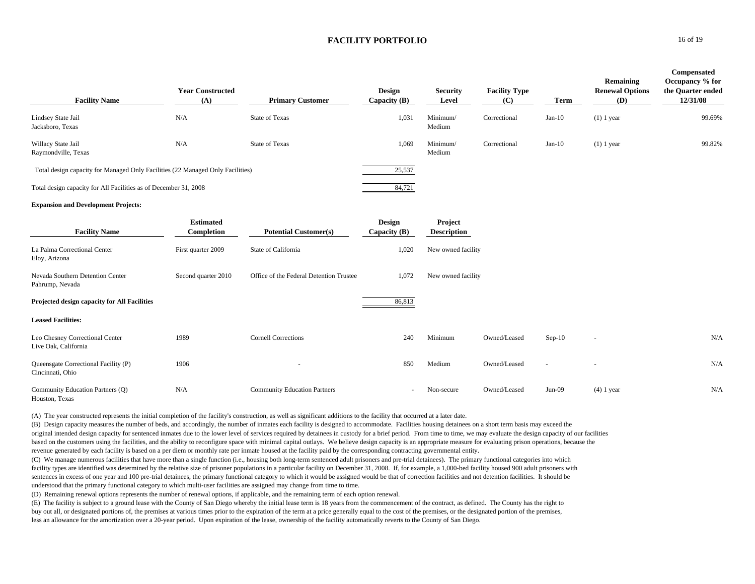| <b>Facility Name</b>                                                           | <b>Year Constructed</b><br>(A) | <b>Primary Customer</b>                 | <b>Design</b><br>Capacity $(B)$ | <b>Security</b><br>Level      | <b>Facility Type</b><br>(C) | Term     | Remaining<br><b>Renewal Options</b><br>(D) | Compensated<br>Occupancy % for<br>the Quarter ended<br>12/31/08 |
|--------------------------------------------------------------------------------|--------------------------------|-----------------------------------------|---------------------------------|-------------------------------|-----------------------------|----------|--------------------------------------------|-----------------------------------------------------------------|
| Lindsey State Jail<br>Jacksboro, Texas                                         | N/A                            | <b>State of Texas</b>                   | 1,031                           | Minimum/<br>Medium            | Correctional                | $Jan-10$ | $(1)$ 1 year                               | 99.69%                                                          |
| Willacy State Jail<br>Raymondville, Texas                                      | N/A                            | <b>State of Texas</b>                   | 1,069                           | Minimum/<br>Medium            | Correctional                | $Jan-10$ | $(1)$ 1 year                               | 99.82%                                                          |
| Total design capacity for Managed Only Facilities (22 Managed Only Facilities) |                                |                                         | 25,537                          |                               |                             |          |                                            |                                                                 |
| Total design capacity for All Facilities as of December 31, 2008               |                                |                                         | 84,721                          |                               |                             |          |                                            |                                                                 |
| <b>Expansion and Development Projects:</b>                                     |                                |                                         |                                 |                               |                             |          |                                            |                                                                 |
| <b>Facility Name</b>                                                           | <b>Estimated</b><br>Completion | <b>Potential Customer(s)</b>            | <b>Design</b><br>Capacity (B)   | Project<br><b>Description</b> |                             |          |                                            |                                                                 |
| La Palma Correctional Center<br>Eloy, Arizona                                  | First quarter 2009             | State of California                     | 1,020                           | New owned facility            |                             |          |                                            |                                                                 |
| Nevada Southern Detention Center<br>Pahrump, Nevada                            | Second quarter 2010            | Office of the Federal Detention Trustee | 1,072                           | New owned facility            |                             |          |                                            |                                                                 |
| Projected design capacity for All Facilities                                   |                                |                                         | 86,813                          |                               |                             |          |                                            |                                                                 |
| <b>Leased Facilities:</b>                                                      |                                |                                         |                                 |                               |                             |          |                                            |                                                                 |
| Leo Chesney Correctional Center<br>Live Oak, California                        | 1989                           | <b>Cornell Corrections</b>              | 240                             | Minimum                       | Owned/Leased                | $Sep-10$ |                                            | N/A                                                             |
| Queensgate Correctional Facility (P)<br>Cincinnati, Ohio                       | 1906                           |                                         | 850                             | Medium                        | Owned/Leased                |          |                                            | N/A                                                             |
| Community Education Partners (Q)<br>Houston, Texas                             | N/A                            | <b>Community Education Partners</b>     |                                 | Non-secure                    | Owned/Leased                | $Jun-09$ | $(4)$ 1 year                               | N/A                                                             |

(A) The year constructed represents the initial completion of the facility's construction, as well as significant additions to the facility that occurred at a later date.

(B) Design capacity measures the number of beds, and accordingly, the number of inmates each facility is designed to accommodate. Facilities housing detainees on a short term basis may exceed the original intended design capacity for sentenced inmates due to the lower level of services required by detainees in custody for a brief period. From time to time, we may evaluate the design capacity of our facilities based on the customers using the facilities, and the ability to reconfigure space with minimal capital outlays. We believe design capacity is an appropriate measure for evaluating prison operations, because the revenue generated by each facility is based on a per diem or monthly rate per inmate housed at the facility paid by the corresponding contracting governmental entity.

(C) We manage numerous facilities that have more than a single function (i.e., housing both long-term sentenced adult prisoners and pre-trial detainees). The primary functional categories into which facility types are identified was determined by the relative size of prisoner populations in a particular facility on December 31, 2008. If, for example, a 1,000-bed facility housed 900 adult prisoners with sentences in excess of one year and 100 pre-trial detainees, the primary functional category to which it would be assigned would be that of correction facilities and not detention facilities. It should be understood that the primary functional category to which multi-user facilities are assigned may change from time to time.

(D) Remaining renewal options represents the number of renewal options, if applicable, and the remaining term of each option renewal.

(E) The facility is subject to a ground lease with the County of San Diego whereby the initial lease term is 18 years from the commencement of the contract, as defined. The County has the right to buy out all, or designated portions of, the premises at various times prior to the expiration of the term at a price generally equal to the cost of the premises, or the designated portion of the premises, less an allowance for the amortization over a 20-year period. Upon expiration of the lease, ownership of the facility automatically reverts to the County of San Diego.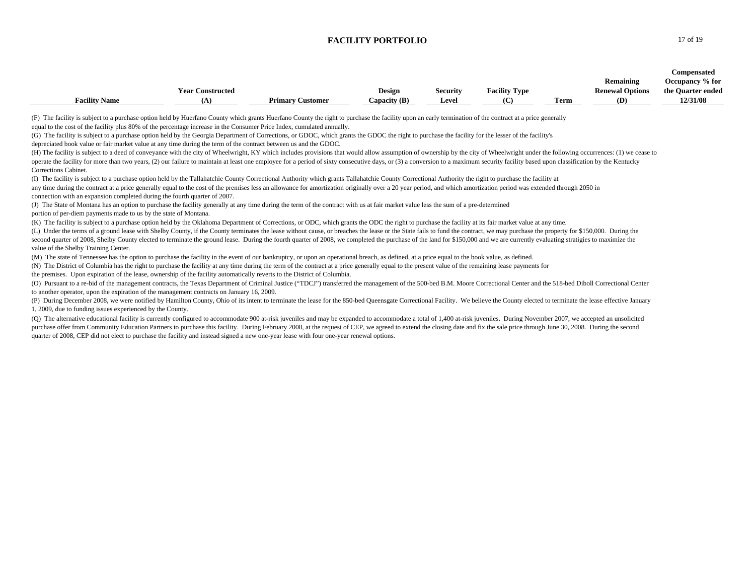| (F) The facility is subject to a purchase option held by Huerfano County which grants Huerfano County the right to purchase the facility upon an early termination of the contract at a price generally<br>equal to the cost of the facility plus 80% of the percentage increase in the Consumer Price Index, cumulated annually.<br>(G) The facility is subject to a purchase option held by the Georgia Department of Corrections, or GDOC, which grants the GDOC the right to purchase the facility for the lesser of the facility's<br>depreciated book value or fair market value at any time during the term of the contract between us and the GDOC.<br>(H) The facility is subject to a deed of conveyance with the city of Wheelwright, KY which includes provisions that would allow assumption of ownership by the city of Wheelwright under the following occurrences: (1) we cea<br>operate the facility for more than two years, (2) our failure to maintain at least one employee for a period of sixty consecutive days, or (3) a conversion to a maximum security facility based upon classification by the Ke<br>Corrections Cabinet.<br>(I) The facility is subject to a purchase option held by the Tallahatchie County Correctional Authority which grants Tallahatchie County Correctional Authority the right to purchase the facility at<br>any time during the contract at a price generally equal to the cost of the premises less an allowance for amortization originally over a 20 year period, and which amortization period was extended through 2050 in<br>connection with an expansion completed during the fourth quarter of 2007.<br>(J) The State of Montana has an option to purchase the facility generally at any time during the term of the contract with us at fair market value less the sum of a pre-determined<br>portion of per-diem payments made to us by the state of Montana.<br>(K) The facility is subject to a purchase option held by the Oklahoma Department of Corrections, or ODC, which grants the ODC the right to purchase the facility at its fair market value at any time.<br>(L) Under the terms of a ground lease with Shelby County, if the County terminates the lease without cause, or breaches the lease or the State fails to fund the contract, we may purchase the property for \$150,000. During t<br>second quarter of 2008, Shelby County elected to terminate the ground lease. During the fourth quarter of 2008, we completed the purchase of the land for \$150,000 and we are currently evaluating stratigies to maximize the<br>value of the Shelby Training Center.<br>(M) The state of Tennessee has the option to purchase the facility in the event of our bankruptcy, or upon an operational breach, as defined, at a price equal to the book value, as defined.<br>(N) The District of Columbia has the right to purchase the facility at any time during the term of the contract at a price generally equal to the present value of the remaining lease payments for<br>the premises. Upon expiration of the lease, ownership of the facility automatically reverts to the District of Columbia.<br>(O) Pursuant to a re-bid of the management contracts, the Texas Department of Criminal Justice ("TDCJ") transferred the management of the 500-bed B.M. Moore Correctional Center and the 518-bed Diboll Correctional Center<br>to another operator, upon the expiration of the management contracts on January 16, 2009.<br>(P) During December 2008, we were notified by Hamilton County, Ohio of its intent to terminate the lease for the 850-bed Queensgate Correctional Facility. We believe the County elected to terminate the lease effective Janu<br>1, 2009, due to funding issues experienced by the County.<br>(Q) The alternative educational facility is currently configured to accommodate 900 at-risk juveniles and may be expanded to accommodate a total of 1,400 at-risk juveniles. During November 2007, we accepted an unsolicited<br>purchase offer from Community Education Partners to purchase this facility. During February 2008, at the request of CEP, we agreed to extend the closing date and fix the sale price through June 30, 2008. During the second<br>quarter of 2008, CEP did not elect to purchase the facility and instead signed a new one-year lease with four one-year renewal options. | <b>Facility Name</b> | <b>Year Constructed</b><br>(A) | <b>Primary Customer</b> | <b>Design</b><br>Capacity $(B)$ | <b>Security</b><br>Level | <b>Facility Type</b><br>(C) | <b>Term</b> | Remaining<br><b>Renewal Options</b><br>(D) | Compensated<br>Occupancy % for<br>the Quarter ended<br>12/31/08 |
|------------------------------------------------------------------------------------------------------------------------------------------------------------------------------------------------------------------------------------------------------------------------------------------------------------------------------------------------------------------------------------------------------------------------------------------------------------------------------------------------------------------------------------------------------------------------------------------------------------------------------------------------------------------------------------------------------------------------------------------------------------------------------------------------------------------------------------------------------------------------------------------------------------------------------------------------------------------------------------------------------------------------------------------------------------------------------------------------------------------------------------------------------------------------------------------------------------------------------------------------------------------------------------------------------------------------------------------------------------------------------------------------------------------------------------------------------------------------------------------------------------------------------------------------------------------------------------------------------------------------------------------------------------------------------------------------------------------------------------------------------------------------------------------------------------------------------------------------------------------------------------------------------------------------------------------------------------------------------------------------------------------------------------------------------------------------------------------------------------------------------------------------------------------------------------------------------------------------------------------------------------------------------------------------------------------------------------------------------------------------------------------------------------------------------------------------------------------------------------------------------------------------------------------------------------------------------------------------------------------------------------------------------------------------------------------------------------------------------------------------------------------------------------------------------------------------------------------------------------------------------------------------------------------------------------------------------------------------------------------------------------------------------------------------------------------------------------------------------------------------------------------------------------------------------------------------------------------------------------------------------------------------------------------------------------------------------------------------------------------------------------------------------------------------------------------------------------------------------------------------------------------------------------------------------------------------------------------------------------------------------------------------------------------------------------------------------------------------------------------------------------------------------------------------------------------------------------------------------------------------------------------------------------------------------------------------------------------------------------------------------------------------------------------------------------------------------------------------------------------------------------------------------------------------------------------------------------------------------------------------------------------------------------------------------------------------------------------------------------------------------------------------------------------------------------|----------------------|--------------------------------|-------------------------|---------------------------------|--------------------------|-----------------------------|-------------|--------------------------------------------|-----------------------------------------------------------------|
|                                                                                                                                                                                                                                                                                                                                                                                                                                                                                                                                                                                                                                                                                                                                                                                                                                                                                                                                                                                                                                                                                                                                                                                                                                                                                                                                                                                                                                                                                                                                                                                                                                                                                                                                                                                                                                                                                                                                                                                                                                                                                                                                                                                                                                                                                                                                                                                                                                                                                                                                                                                                                                                                                                                                                                                                                                                                                                                                                                                                                                                                                                                                                                                                                                                                                                                                                                                                                                                                                                                                                                                                                                                                                                                                                                                                                                                                                                                                                                                                                                                                                                                                                                                                                                                                                                                                                                                                                                    |                      |                                |                         |                                 |                          |                             |             |                                            |                                                                 |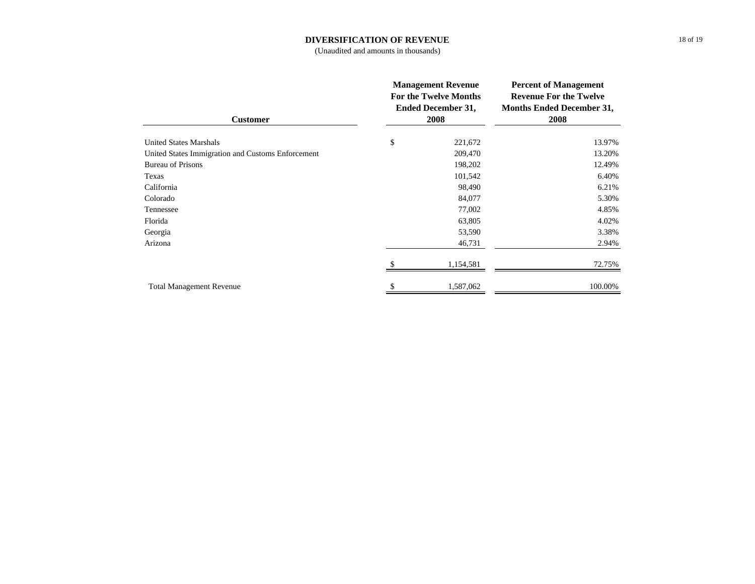### **DIVERSIFICATION OF REVENUE**

(Unaudited and amounts in thousands)

| <b>Customer</b>                                   | <b>Management Revenue</b><br><b>For the Twelve Months</b><br><b>Ended December 31,</b><br>2008 | <b>Percent of Management</b><br><b>Revenue For the Twelve</b><br><b>Months Ended December 31,</b><br>2008 |  |
|---------------------------------------------------|------------------------------------------------------------------------------------------------|-----------------------------------------------------------------------------------------------------------|--|
| <b>United States Marshals</b>                     | \$<br>221,672                                                                                  | 13.97%                                                                                                    |  |
| United States Immigration and Customs Enforcement | 209,470                                                                                        | 13.20%                                                                                                    |  |
| <b>Bureau of Prisons</b>                          | 198,202                                                                                        | 12.49%                                                                                                    |  |
| Texas                                             | 101,542                                                                                        | 6.40%                                                                                                     |  |
| California                                        | 98,490                                                                                         | 6.21%                                                                                                     |  |
| Colorado                                          | 84,077                                                                                         | 5.30%                                                                                                     |  |
| Tennessee                                         | 77,002                                                                                         | 4.85%                                                                                                     |  |
| Florida                                           | 63,805                                                                                         | 4.02%                                                                                                     |  |
| Georgia                                           | 53,590                                                                                         | 3.38%                                                                                                     |  |
| Arizona                                           | 46,731                                                                                         | 2.94%                                                                                                     |  |
|                                                   | 1,154,581                                                                                      | 72.75%                                                                                                    |  |
| <b>Total Management Revenue</b>                   | \$<br>1,587,062                                                                                | 100.00%                                                                                                   |  |